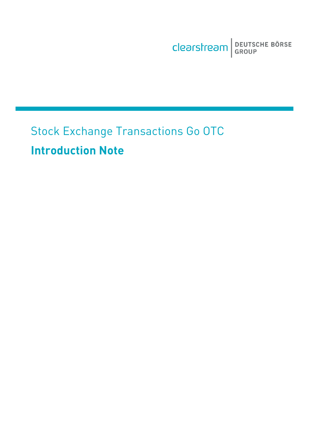Clearstream BEUTSCHE BÖRSE

# Stock Exchange Transactions Go OTC **Introduction Note**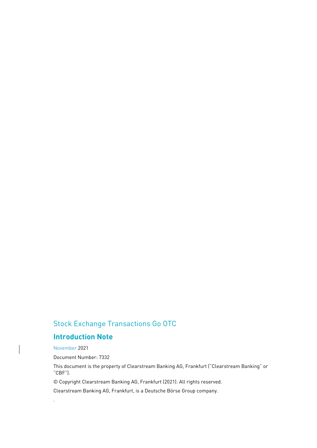## Stock Exchange Transactions Go OTC

## **Introduction Note**

November 2021

.

Document Number: 7332

This document is the property of Clearstream Banking AG, Frankfurt ("Clearstream Banking" or "CBF").

© Copyright Clearstream Banking AG, Frankfurt (2021). All rights reserved.

Clearstream Banking AG, Frankfurt, is a Deutsche Börse Group company.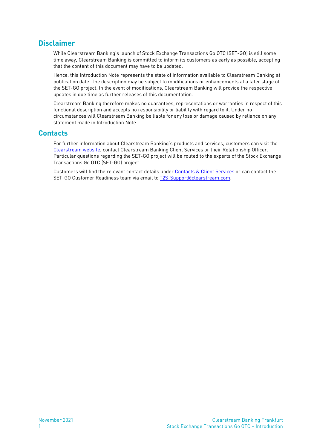## <span id="page-2-0"></span>**Disclaimer**

While Clearstream Banking's launch of Stock Exchange Transactions Go OTC (SET-GO) is still some time away, Clearstream Banking is committed to inform its customers as early as possible, accepting that the content of this document may have to be updated.

Hence, this Introduction Note represents the state of information available to Clearstream Banking at publication date. The description may be subject to modifications or enhancements at a later stage of the SET-GO project. In the event of modifications, Clearstream Banking will provide the respective updates in due time as further releases of this documentation.

Clearstream Banking therefore makes no guarantees, representations or warranties in respect of this functional description and accepts no responsibility or liability with regard to it. Under no circumstances will Clearstream Banking be liable for any loss or damage caused by reliance on any statement made in Introduction Note.

## <span id="page-2-1"></span>**Contacts**

For further information about Clearstream Banking's products and services, customers can visit the [Clearstream](http://www.clearstream.com/) website, contact Clearstream Banking Client Services or their Relationship Officer. Particular questions regarding the SET-GO project will be routed to the experts of the Stock Exchange Transactions Go OTC (SET-GO) project.

Customers will find the relevant contact details under [Contacts & Client Services](https://clearstream.com/clearstream-en/contacts/core-products) or can contact the SET-GO Customer Readiness team via email to [T2S-Support@clearstream.com.](mailto:T2S-Support@clearstream.com?subject=SET-GO%20Introduction%20Note%20-%20)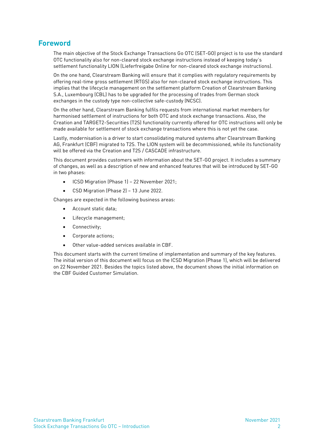## <span id="page-3-0"></span>**Foreword**

The main objective of the Stock Exchange Transactions Go OTC (SET-GO) project is to use the standard OTC functionality also for non-cleared stock exchange instructions instead of keeping today's settlement functionality LION (Lieferfreigabe Online for non-cleared stock exchange instructions).

On the one hand, Clearstream Banking will ensure that it complies with regulatory requirements by offering real-time gross settlement (RTGS) also for non-cleared stock exchange instructions. This implies that the lifecycle management on the settlement platform Creation of Clearstream Banking S.A., Luxembourg (CBL) has to be upgraded for the processing of trades from German stock exchanges in the custody type non-collective safe-custody (NCSC).

On the other hand, Clearstream Banking fulfils requests from international market members for harmonised settlement of instructions for both OTC and stock exchange transactions. Also, the Creation and TARGET2-Securities (T2S) functionality currently offered for OTC instructions will only be made available for settlement of stock exchange transactions where this is not yet the case.

Lastly, modernisation is a driver to start consolidating matured systems after Clearstream Banking AG, Frankfurt (CBF) migrated to T2S. The LION system will be decommissioned, while its functionality will be offered via the Creation and T2S / CASCADE infrastructure.

This document provides customers with information about the SET-GO project. It includes a summary of changes, as well as a description of new and enhanced features that will be introduced by SET-GO in two phases:

- ICSD Migration (Phase 1) 22 November 2021;
- CSD Migration (Phase 2) 13 June 2022.

Changes are expected in the following business areas:

- Account static data;
- Lifecycle management;
- Connectivity;
- Corporate actions;
- Other value-added services available in CBF.

This document starts with the current timeline of implementation and summary of the key features. The initial version of this document will focus on the ICSD Migration (Phase 1), which will be delivered on 22 November 2021. Besides the topics listed above, the document shows the initial information on the CBF Guided Customer Simulation.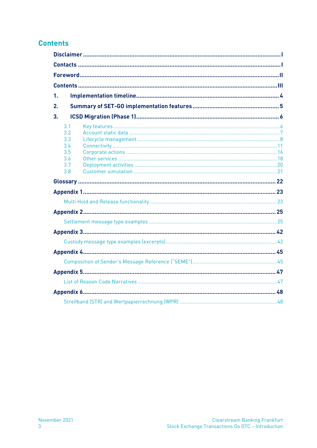## <span id="page-4-0"></span>**Contents**

| 1. |                                                      |  |  |  |  |  |
|----|------------------------------------------------------|--|--|--|--|--|
| 2. |                                                      |  |  |  |  |  |
| 3. |                                                      |  |  |  |  |  |
|    | 3.1<br>3.2<br>3.3<br>3.4<br>3.5<br>3.6<br>3.7<br>3.8 |  |  |  |  |  |
|    |                                                      |  |  |  |  |  |
|    |                                                      |  |  |  |  |  |
|    |                                                      |  |  |  |  |  |
|    |                                                      |  |  |  |  |  |
|    |                                                      |  |  |  |  |  |
|    |                                                      |  |  |  |  |  |
|    |                                                      |  |  |  |  |  |
|    |                                                      |  |  |  |  |  |
|    |                                                      |  |  |  |  |  |
|    |                                                      |  |  |  |  |  |
|    |                                                      |  |  |  |  |  |
|    |                                                      |  |  |  |  |  |
|    |                                                      |  |  |  |  |  |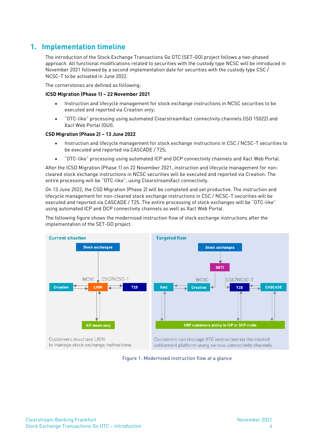## <span id="page-5-0"></span>**1. Implementation timeline**

The introduction of the Stock Exchange Transactions Go OTC (SET-GO) project follows a two-phased approach. All functional modifications related to securities with the custody type NCSC will be introduced in November 2021 followed by a second implementation date for securities with the custody type CSC / NCSC-T to be activated in June 2022.

The cornerstones are defined as following:

#### **ICSD Migration (Phase 1) – 22 November 2021**

- Instruction and lifecycle management for stock exchange instructions in NCSC securities to be executed and reported via Creation only;
- "OTC-like" processing using automated ClearstreamXact connectivity channels (ISO 15022) and Xact Web Portal (GUI).

#### **CSD Migration (Phase 2) – 13 June 2022**

- Instruction and lifecycle management for stock exchange instructions in CSC / NCSC-T securities to be executed and reported via CASCADE / T2S;
- "OTC-like" processing using automated ICP and DCP connectivity channels and Xact Web Portal.

After the ICSD Migration (Phase 1) on 22 November 2021, instruction and lifecycle management for noncleared stock exchange instructions in NCSC securities will be executed and reported via Creation. The entire processing will be "OTC-like", using ClearstreamXact connectivity.

On 13 June 2022, the CSD Migration (Phase 2) will be completed and set productive. The instruction and lifecycle management for non-cleared stock exchange instructions in CSC / NCSC-T securities will be executed and reported via CASCADE / T2S. The entire processing of stock exchanges will be "OTC-like" using automated ICP and DCP connectivity channels as well as Xact Web Portal.

The following figure shows the modernised instruction flow of stock exchange instructions after the implementation of the SET-GO project.



Figure 1: Modernised instruction flow at a glance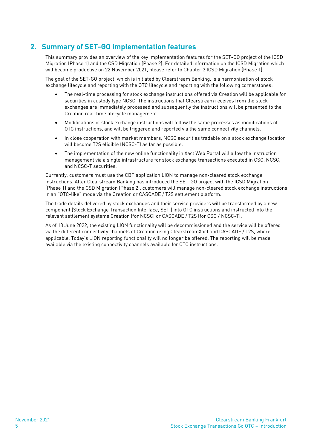## <span id="page-6-0"></span>**2. Summary of SET-GO implementation features**

This summary provides an overview of the key implementation features for the SET-GO project of the ICSD Migration (Phase 1) and the CSD Migration (Phase 2). For detailed information on the ICSD Migration which will become productive on 22 November 2021, please refer to Chapter [3](#page-7-2) [ICSD Migration \(Phase 1\).](#page-7-2)

The goal of the SET-GO project, which is initiated by Clearstream Banking, is a harmonisation of stock exchange lifecycle and reporting with the OTC lifecycle and reporting with the following cornerstones:

- The real-time processing for stock exchange instructions offered via Creation will be applicable for securities in custody type NCSC. The instructions that Clearstream receives from the stock exchanges are immediately processed and subsequently the instructions will be presented to the Creation real-time lifecycle management.
- Modifications of stock exchange instructions will follow the same processes as modifications of OTC instructions, and will be triggered and reported via the same connectivity channels.
- In close cooperation with market members, NCSC securities tradable on a stock exchange location will become T2S eligible (NCSC-T) as far as possible.
- The implementation of the new online functionality in Xact Web Portal will allow the instruction management via a single infrastructure for stock exchange transactions executed in CSC, NCSC, and NCSC-T securities.

Currently, customers must use the CBF application LION to manage non-cleared stock exchange instructions. After Clearstream Banking has introduced the SET-GO project with the ICSD Migration (Phase 1) and the CSD Migration (Phase 2), customers will manage non-cleared stock exchange instructions in an "OTC-like" mode via the Creation or CASCADE / T2S settlement platform.

The trade details delivered by stock exchanges and their service providers will be transformed by a new component (Stock Exchange Transaction Interface, SETI) into OTC instructions and instructed into the relevant settlement systems Creation (for NCSC) or CASCADE / T2S (for CSC / NCSC-T).

As of 13 June 2022, the existing LION functionality will be decommissioned and the service will be offered via the different connectivity channels of Creation using ClearstreamXact and CASCADE / T2S, where applicable. Today's LION reporting functionality will no longer be offered. The reporting will be made available via the existing connectivity channels available for OTC instructions.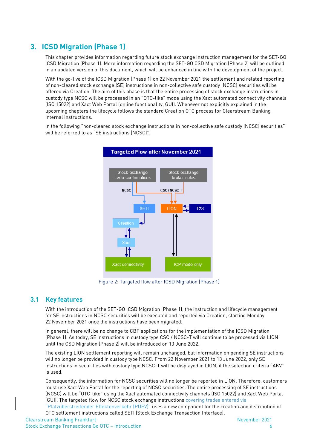## <span id="page-7-2"></span><span id="page-7-0"></span>**3. ICSD Migration (Phase 1)**

This chapter provides information regarding future stock exchange instruction management for the SET-GO ICSD Migration (Phase 1). More information regarding the SET-GO CSD Migration (Phase 2) will be outlined in an updated version of this document, which will be enhanced in line with the development of the project.

With the go-live of the ICSD Migration (Phase 1) on 22 November 2021 the settlement and related reporting of non-cleared stock exchange (SE) instructions in non-collective safe custody (NCSC) securities will be offered via Creation. The aim of this phase is that the entire processing of stock exchange instructions in custody type NCSC will be processed in an "OTC-like" mode using the Xact automated connectivity channels (ISO 15022) and Xact Web Portal (online functionality, GUI). Whenever not explicitly explained in the upcoming chapters the lifecycle follows the standard Creation OTC process for Clearstream Banking internal instructions.

In the following "non-cleared stock exchange instructions in non-collective safe custody (NCSC) securities" will be referred to as "SE instructions (NCSC)".



Figure 2: Targeted flow after ICSD Migration (Phase 1)

## <span id="page-7-1"></span>**3.1 Key features**

With the introduction of the SET-GO ICSD Migration (Phase 1), the instruction and lifecycle management for SE instructions in NCSC securities will be executed and reported via Creation, starting Monday, 22 November 2021 once the instructions have been migrated.

In general, there will be no change to CBF applications for the implementation of the ICSD Migration (Phase 1). As today, SE instructions in custody type CSC / NCSC-T will continue to be processed via LION until the CSD Migration (Phase 2) will be introduced on 13 June 2022.

The existing LION settlement reporting will remain unchanged, but information on pending SE instructions will no longer be provided in custody type NCSC. From 22 November 2021 to 13 June 2022, only SE instructions in securities with custody type NCSC-T will be displayed in LION, if the selection criteria "AKV" is used.

Consequently, the information for NCSC securities will no longer be reported in LION. Therefore, customers must use Xact Web Portal for the reporting of NCSC securities. The entire processing of SE instructions (NCSC) will be "OTC-like" using the Xact automated connectivity channels (ISO 15022) and Xact Web Portal (GUI). The targeted flow for NCSC stock exchange instructions covering trades entered via "Platzüberstreitender Effektenverkehr (PÜEV)" uses a new component for the creation and distribution of

OTC settlement instructions called SETI (Stock Exchange Transaction Interface).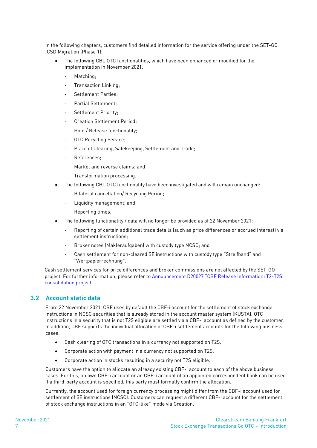In the following chapters, customers find detailed information for the service offering under the SET-GO ICSD Migration (Phase 1).

- The following CBL OTC functionalities, which have been enhanced or modified for the implementation in November 2021:
	- Matching;
	- Transaction Linking;
	- Settlement Parties:
	- Partial Settlement:
	- Settlement Priority;
	- Creation Settlement Period;
	- Hold / Release functionality;
	- OTC Recycling Service;
	- Place of Clearing, Safekeeping, Settlement and Trade;
	- References;
	- Market and reverse claims; and
	- Transformation processing.
- The following CBL OTC functionality have been investigated and will remain unchanged:
	- Bilateral cancellation/ Recycling Period;
	- Liquidity management; and
	- Reporting times.
- The following functionality / data will no longer be provided as of 22 November 2021:
	- Reporting of certain additional trade details (such as price differences or accrued interest) via settlement instructions;
	- Broker notes (Makleraufgaben) with custody type NCSC; and
	- Cash settlement for non-cleared SE instructions with custody type "Streifband" and "Wertpapierrechnung".

Cash settlement services for price differences and broker commissions are not affected by the SET-GO project. For further information, please refer to Announcement D20027 "[CBF Release Information: T2-T2S](https://www.clearstream.com/clearstream-en/products-and-services/connectivity-1-/d20027-2126878)  [consolidation project](https://www.clearstream.com/clearstream-en/products-and-services/connectivity-1-/d20027-2126878)".

## <span id="page-8-0"></span>**3.2 Account static data**

From 22 November 2021, CBF uses by default the CBF-i account for the settlement of stock exchange instructions in NCSC securities that is already stored in the account master system (KUSTA). OTC instructions in a security that is not T2S eligible are settled via a CBF-i account as defined by the customer. In addition, CBF supports the individual allocation of CBF-i settlement accounts for the following business cases:

- Cash clearing of OTC transactions in a currency not supported on T2S;
- Corporate action with payment in a currency not supported on T2S;
- Corporate action in stocks resulting in a security not T2S eligible.

Customers have the option to allocate an already existing CBF-i account to each of the above business cases. For this, an own CBF-i account or an CBF-i account of an appointed correspondent bank can be used. If a third-party account is specified, this party must formally confirm the allocation.

Currently, the account used for foreign currency processing might differ from the CBF-i account used for settlement of SE instructions (NCSC). Customers can request a different CBF-i account for the settlement of stock exchange instructions in an "OTC-like" mode via Creation.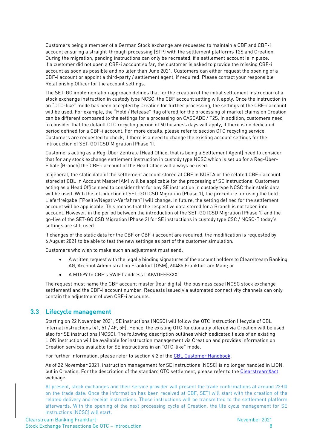Customers being a member of a German Stock exchange are requested to maintain a CBF and CBF-i account ensuring a straight-through processing (STP) with the settlement platforms T2S and Creation. During the migration, pending instructions can only be recreated, if a settlement account is in place. If a customer did not open a CBF-i account so far, the customer is asked to provide the missing CBF-i account as soon as possible and no later than June 2021. Customers can either request the opening of a CBF-i account or appoint a third-party / settlement agent, if required. Please contact your responsible Relationship Officer for the account settings.

The SET-GO implementation approach defines that for the creation of the initial settlement instruction of a stock exchange instruction in custody type NCSC, the CBF account setting will apply. Once the instruction in an "OTC-like" mode has been accepted by Creation for further processing, the settings of the CBF-i account will be used. For example, the "Hold / Release" flag offered for the processing of market claims on Creation can be different compared to the settings for a processing on CASCADE / T2S. In addition, customers need to consider that the default OTC recycling period of 60 business days will apply, if there is no dedicated period defined for a CBF-i account. For more details, please refer to section [OTC recycling service.](#page-12-1) Customers are requested to check, if there is a need to change the existing account settings for the introduction of SET-GO ICSD Migration (Phase 1).

Customers acting as a Reg-Über Zentrale (Head Office, that is being a Settlement Agent) need to consider that for any stock exchange settlement instruction in custody type NCSC which is set up for a Reg-Über-Filiale (Branch) the CBF-i account of the Head Office will always be used.

In general, the static data of the settlement account stored at CBF in KUSTA or the related CBF-i account stored at CBL in Account Master (AM) will be applicable for the processing of SE instructions. Customers acting as a Head Office need to consider that for any SE instruction in custody type NCSC their static data will be used. With the introduction of SET-GO ICSD Migration (Phase 1), the procedure for using the field Lieferfreigabe ("Positiv/Negativ-Verfahren") will change. In future, the setting defined for the settlement account will be applicable. This means that the respective data stored for a Branch is not taken into account. However, in the period between the introduction of the SET-GO ICSD Migration (Phase 1) and the go-live of the SET-GO CSD Migration (Phase 2) for SE instructions in custody type CSC / NCSC-T today's settings are still used.

If changes of the static data for the CBF or CBF-i account are required, the modification is requested by 6 August 2021 to be able to test the new settings as part of the customer simulation.

Customers who wish to make such an adjustment must send:

- A written request with the legally binding signatures of the account holders to Clearstream Banking AG, Account Administration Frankfurt (OSM), 60485 Frankfurt am Main; or
- A MT599 to CBF's SWIFT address DAKVDEFFXXX.

The request must name the CBF account master (four digits), the business case (NCSC stock exchange settlement) and the CBF-i account number. Requests issued via automated connectivity channels can only contain the adjustment of own CBF-i accounts.

## <span id="page-9-0"></span>**3.3 Lifecycle management**

Starting on 22 November 2021, SE instructions (NCSC) will follow the OTC instruction lifecycle of CBL internal instructions (41, 51 / 4F, 5F). Hence, the existing OTC functionality offered via Creation will be used also for SE instructions (NCSC). The following description outlines which dedicated fields of an existing LION instruction will be available for instruction management via Creation and provides information on Creation services available for SE instructions in an "OTC-like" mode.

For further information, please refer to section 4.2 of the [CBL Customer Handbook.](http://www.clearstream.com/clearstream-en/keydocuments-1-/icsd-1-/customer-handbook)

As of 22 November 2021, instruction management for SE instructions (NCSC) is no longer handled in LION, but in Creation. For the description of the standard OTC settlement, please refer to th[e ClearstreamXact](https://www.clearstream.com/clearstream-en/products-and-services/connectivity-1-/clearstreamxact) webpage.

At present, stock exchanges and their service provider will present the trade confirmations at around 22:00 on the trade date. Once the information has been received at CBF, SETI will start with the creation of the related delivery and receipt instructions. These instructions will be transmitted to the settlement platform afterwards. With the opening of the next processing cycle at Creation, the life cycle management for SE instructions (NCSC) will start.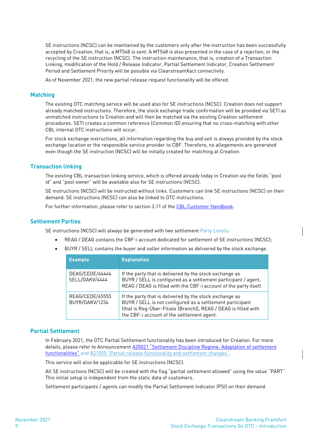SE instructions (NCSC) can be maintained by the customers only after the instruction has been successfully accepted by Creation, that is, a MT548 is sent. A MT548 is also presented in the case of a rejection, or the recycling of the SE instruction (NCSC). The instruction maintenance, that is, creation of a Transaction Linking, modification of the Hold / Release Indicator, Partial Settlement Indicator, Creation Settlement Period and Settlement Priority will be possible via ClearstreamXact connectivity.

As of November 2021, the new partial release request functionality will be offered.

### **Matching**

The existing OTC matching service will be used also for SE instructions (NCSC). Creation does not support already matched instructions. Therefore, the stock exchange trade confirmation will be provided via SETI as unmatched instructions to Creation and will then be matched via the existing Creation settlement procedures. SETI creates a common reference (Common ID) ensuring that no cross-matching with other CBL internal OTC instructions will occur.

For stock exchange instructions, all information regarding the buy and sell is always provided by the stock exchange location or the responsible service provider to CBF. Therefore, no allegements are generated even though the SE instruction (NCSC) will be initially created for matching at Creation.

#### **Transaction linking**

The existing CBL transaction linking service, which is offered already today in Creation via the fields "pool id" and "pool owner" will be available also for SE instructions (NCSC).

SE instructions (NCSC) will be instructed without links. Customers can link SE instructions (NCSC) on their demand. SE instructions (NCSC) can also be linked to OTC instructions.

For further information, please refer to section 3.11 of the [CBL Customer](http://www.clearstream.com/clearstream-en/keydocuments-1-/icsd-1-/customer-handbook) Handbook.

### **Settlement Parties**

SE instructions (NCSC) will always be generated with two settlement Party Levels:

- REAG / DEAG contains the CBF-i account dedicated for settlement of SE instructions (NCSC);
- BUYR / SELL contains the buyer and seller information as delivered by the stock exchange.

| <b>Example</b>                    | <b>Explanation</b>                                                                                                                                                                                                                    |
|-----------------------------------|---------------------------------------------------------------------------------------------------------------------------------------------------------------------------------------------------------------------------------------|
| DEAG/CEDE/64444<br>SELL/DAKV/4444 | If the party that is delivered by the stock exchange as<br>BUYR / SELL is configured as a settlement participant / agent,<br>REAG / DEAG is filled with the CBF-i account of the party itself.                                        |
| REAG/CEDE/65555<br>BUYR/DAKV/1234 | If the party that is delivered by the stock exchange as<br>BUYR / SELL is not configured as a settlement participant<br>(that is Reg-Über-Filiale (Branch)), REAG / DEAG is filled with<br>the CBF-i account of the settlement agent. |

### <span id="page-10-0"></span>**Partial Settlement**

In February 2021, the OTC Partial Settlement functionality has been introduced for Creation. For more details, please refer to Announcement **A20021** "Settlement Discipline Regime: Adaptation of settlement [functionalities"](https://www.clearstream.com/clearstream-en/products-and-services/settlement/a20021-1763704) and [A21055 "Partial release functionality and settlement changes"](https://www.clearstream.com/clearstream-en/products-and-services/settlement/a21055-2657338).

This service will also be applicable for SE instructions (NCSC).

All SE instructions (NCSC) will be created with the flag "partial settlement allowed" using the value "PART". This initial setup is independent from the static data of customers.

Settlement participants / agents can modify the Partial Settlement Indicator (PSI) on their demand.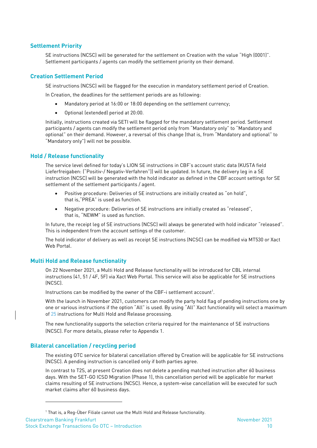## <span id="page-11-1"></span>**Settlement Priority**

SE instructions (NCSC) will be generated for the settlement on Creation with the value "High (0001)". Settlement participants / agents can modify the settlement priority on their demand.

## <span id="page-11-0"></span>**Creation Settlement Period**

SE instructions (NCSC) will be flagged for the execution in mandatory settlement period of Creation.

In Creation, the deadlines for the settlement periods are as following:

- Mandatory period at 16:00 or 18:00 depending on the settlement currency;
- Optional (extended) period at 20:00.

Initially, instructions created via SETI will be flagged for the mandatory settlement period. Settlement participants / agents can modify the settlement period only from "Mandatory only" to "Mandatory and optional" on their demand. However, a reversal of this change (that is, from "Mandatory and optional" to "Mandatory only") will not be possible.

## **Hold / Release functionality**

The service level defined for today's LION SE instructions in CBF's account static data (KUSTA field Lieferfreigaben: ("Positiv-/ Negativ-Verfahren")) will be updated. In future, the delivery leg in a SE instruction (NCSC) will be generated with the hold indicator as defined in the CBF account settings for SE settlement of the settlement participants / agent.

- Positive procedure: Deliveries of SE instructions are initially created as "on hold", that is,"PREA" is used as function.
- Negative procedure: Deliveries of SE instructions are initially created as "released", that is, "NEWM" is used as function.

In future, the receipt leg of SE instructions (NCSC) will always be generated with hold indicator "released". This is independent from the account settings of the customer.

The hold indicator of delivery as well as receipt SE instructions (NCSC) can be modified via MT530 or Xact Web Portal.

## **Multi Hold and Release functionality**

On 22 November 2021, a Multi Hold and Release functionality will be introduced for CBL internal instructions (41, 51 / 4F, 5F) via Xact Web Portal. This service will also be applicable for SE instructions (NCSC).

Instructions can be modified by the owner of the CBF-i settlement account $^1$ .

With the launch in November 2021, customers can modify the party hold flag of pending instructions one by one or various instructions if the option "All" is used. By using "All" Xact functionality will select a maximum of 25 instructions for Multi Hold and Release processing.

The new functionality supports the selection criteria required for the maintenance of SE instructions (NCSC). For more details, please refer to Appendix 1.

## **Bilateral cancellation / recycling period**

The existing OTC service for bilateral cancellation offered by Creation will be applicable for SE instructions (NCSC). A pending instruction is cancelled only if both parties agree.

In contrast to T2S, at present Creation does not delete a pending matched instruction after 60 business days. With the SET-GO ICSD Migration (Phase 1), this cancellation period will be applicable for market claims resulting of SE instructions (NCSC). Hence, a system-wise cancellation will be executed for such market claims after 60 business days.

 $1$  That is, a Reg-Über Filiale cannot use the Multi Hold and Release functionality.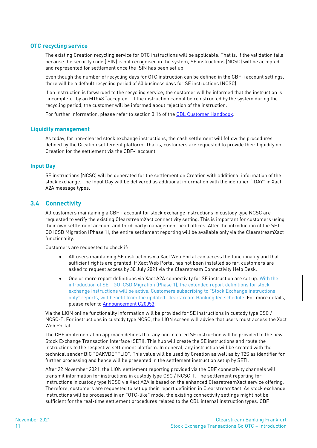## <span id="page-12-1"></span>**OTC recycling service**

The existing Creation recycling service for OTC instructions will be applicable. That is, if the validation fails because the security code (ISIN) is not recognised in the system, SE instructions (NCSC) will be accepted and represented for settlement once the ISIN has been set up.

Even though the number of recycling days for OTC instruction can be defined in the CBF-i account settings, there will be a default recycling period of 60 business days for SE instructions (NCSC).

If an instruction is forwarded to the recycling service, the customer will be informed that the instruction is "incomplete" by an MT548 "accepted". If the instruction cannot be reinstructed by the system during the recycling period, the customer will be informed about rejection of the instruction.

For further information, please refer to section 3.16 of the [CBL Customer Handbook.](http://www.clearstream.com/clearstream-en/keydocuments-1-/icsd-1-/customer-handbook)

#### **Liquidity management**

As today, for non-cleared stock exchange instructions, the cash settlement will follow the procedures defined by the Creation settlement platform. That is, customers are requested to provide their liquidity on Creation for the settlement via the CBF-i account.

### <span id="page-12-2"></span>**Input Day**

SE instructions (NCSC) will be generated for the settlement on Creation with additional information of the stock exchange. The Input Day will be delivered as additional information with the identifier "IDAY" in Xact A2A message types.

## <span id="page-12-3"></span><span id="page-12-0"></span>**3.4 Connectivity**

All customers maintaining a CBF-i account for stock exchange instructions in custody type NCSC are requested to verify the existing ClearstreamXact connectivity setting. This is important for customers using their own settlement account and third-party management head offices. After the introduction of the SET-GO ICSD Migration (Phase 1), the entire settlement reporting will be available only via the ClearstreamXact functionality.

Customers are requested to check if:

- All users maintaining SE instructions via Xact Web Portal can access the functionality and that sufficient rights are granted. If Xact Web Portal has not been installed so far, customers are asked to request access by 30 July 2021 via the Clearstream Connectivity Help Desk.
- One or more report definitions via Xact A2A connectivity for SE instruction are set up. With the introduction of SET-GO ICSD Migration (Phase 1), the extended report definitions for stock exchange instructions will be active. Customers subscribing to "Stock Exchange instructions only" reports, will benefit from the updated Clearstream Banking fee schedule. For more details, please refer to [Announcement C20053.](https://www.clearstream.com/clearstream-en/products-and-services/connectivity-1-/c20053-2320974)

Via the LION online functionality information will be provided for SE instructions in custody type CSC / NCSC-T. For instructions in custody type NCSC, the LION screen will advise that users must access the Xact Web Portal.

The CBF implementation approach defines that any non-cleared SE instruction will be provided to the new Stock Exchange Transaction Interface (SETI). This hub will create the SE instructions and route the instructions to the respective settlement platform. In general, any instruction will be created with the technical sender BIC "DAKVDEFFLIO". This value will be used by Creation as well as by T2S as identifier for further processing and hence will be presented in the settlement instruction setup by SETI.

After 22 November 2021, the LION settlement reporting provided via the CBF connectivity channels will transmit information for instructions in custody type CSC / NCSC-T. The settlement reporting for instructions in custody type NCSC via Xact A2A is based on the enhanced ClearstreamXact service offering. Therefore, customers are requested to set up their report definition in ClearstreamXact. As stock exchange instructions will be processed in an "OTC-like" mode, the existing connectivity settings might not be sufficient for the real-time settlement procedures related to the CBL internal instruction types. CBF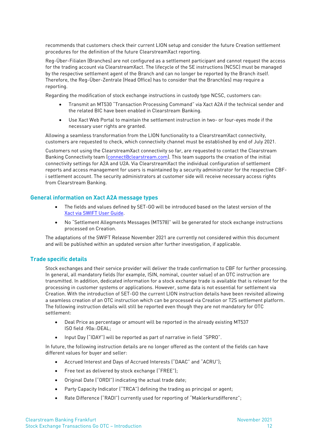recommends that customers check their current LION setup and consider the future Creation settlement procedures for the definition of the future ClearstreamXact reporting.

Reg-Über-Filialen (Branches) are not configured as a settlement participant and cannot request the access for the trading account via ClearstreamXact. The lifecycle of the SE instructions (NCSC) must be managed by the respective settlement agent of the Branch and can no longer be reported by the Branch itself. Therefore, the Reg-Über-Zentrale (Head Office) has to consider that the Branch(es) may require a reporting.

Regarding the modification of stock exchange instructions in custody type NCSC, customers can:

- Transmit an MT530 "Transaction Processing Command" via Xact A2A if the technical sender and the related BIC have been enabled in Clearstream Banking.
- Use Xact Web Portal to maintain the settlement instruction in two- or four-eyes mode if the necessary user rights are granted.

Allowing a seamless transformation from the LION functionality to a ClearstreamXact connectivity, customers are requested to check, which connectivity channel must be established by end of July 2021.

Customers not using the ClearstreamXact connectivity so far, are requested to contact the Clearstream Banking Connectivity team [\(connect@clearstream.com\)](mailto:connect@clearstream.com). This team supports the creation of the initial connectivity settings for A2A and U2A. Via ClearstreamXact the individual configuration of settlement reports and access management for users is maintained by a security administrator for the respective CBFi settlement account. The security administrators at customer side will receive necessary access rights from Clearstream Banking.

### **General information on Xact A2A message types**

- The fields and values defined by SET-GO will be introduced based on the latest version of the Xact [via SWIFT User Guide.](https://www.clearstream.com/clearstream-en/products-and-services/connectivity-1-/xact-via-swift-user-guide-1289256)
- No "Settlement Allegments Messages (MT578)" will be generated for stock exchange instructions processed on Creation.

The adaptations of the SWIFT Release November 2021 are currently not considered within this document and will be published within an updated version after further investigation, if applicable.

## **Trade specific details**

Stock exchanges and their service provider will deliver the trade confirmation to CBF for further processing. In general, all mandatory fields (for example, ISIN, nominal, counter value) of an OTC instruction are transmitted. In addition, dedicated information for a stock exchange trade is available that is relevant for the processing in customer systems or applications. However, some data is not essential for settlement via Creation. With the introduction of SET-GO the current LION instruction details have been revisited allowing a seamless creation of an OTC instruction which can be processed via Creation or T2S settlement platform. The following instruction details will still be reported even though they are not mandatory for OTC settlement:

- Deal Price as percentage or amount will be reported in the already existing MT537 ISO field :90a::DEAL;
- Input Day ("IDAY") will be reported as part of narrative in field "SPRO".

In future, the following instruction details are no longer offered as the content of the fields can have different values for buyer and seller:

- Accrued Interest and Days of Accrued Interests ("DAAC" and "ACRU");
- Free text as delivered by stock exchange ("FREE");
- Original Date ("ORDI") indicating the actual trade date;
- Party Capacity Indicator ("TRCA") defining the trading as principal or agent;
- Rate Difference ("RADI") currently used for reporting of "Maklerkursdifferenz";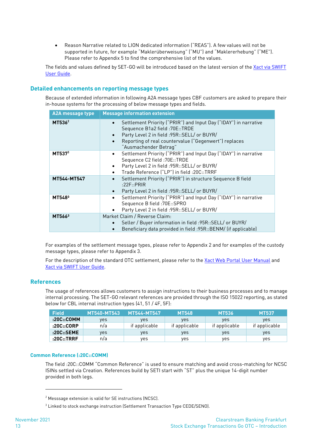• Reason Narrative related to LION dedicated information ("REAS"). A few values will not be supported in future, for example "Maklerüberweisung" ("MU") and "Maklererhebung" ("ME"). Please refer to [Appendix 5](#page-48-2) to find the comprehensive list of the values.

The fields and values defined by SET-GO will be introduced based on the latest version of the Xact via SWIFT [User Guide.](https://www.clearstream.com/clearstream-en/products-and-services/connectivity-1-/xact-via-swift-user-guide-1289256)

## **Detailed enhancements on reporting message types**

Because of extended information in following A2A message types CBF customers are asked to prepare their in-house systems for the processing of below message types and fields.

| A2A message type   | <b>Message information extension</b>                                                                                                                                                                                                                              |
|--------------------|-------------------------------------------------------------------------------------------------------------------------------------------------------------------------------------------------------------------------------------------------------------------|
| MT536 <sup>2</sup> | Settlement Priority ("PRIR") and Input Day ("IDAY") in narrative<br>Sequence B1a2 field : 70E:: TRDE<br>Party Level 2 in field : 95R:: SELL/ or BUYR/<br>$\bullet$<br>Reporting of real countervalue ("Gegenwert") replaces<br>$\bullet$<br>"Ausmachender Betrag" |
| MT537 <sup>3</sup> | Settlement Priority ("PRIR") and Input Day ("IDAY") in narrative<br>$\bullet$<br>Sequence C2 field : 70E:: TRDE<br>Party Level 2 in field : 95R:: SELL/ or BUYR/<br>Trade Reference ("LP") in field :20C::TRRF                                                    |
| MT544-MT547        | Settlement Priority ("PRIR") in structure Sequence B field<br>$\bullet$<br>:22F::PRIR<br>Party Level 2 in field : 95R:: SELL/ or BUYR/                                                                                                                            |
| MT5483             | Settlement Priority ("PRIR") and Input Day ("IDAY") in narrative<br>Sequence B field : 70E:: SPRO<br>Party Level 2 in field : 95R:: SELL/ or BUYR/                                                                                                                |
| MT5663             | Market Claim / Reverse Claim:<br>Seller / Buyer information in field : 95R:: SELL/ or BUYR/<br>Beneficiary data provided in field : 95R:: BENM/ (if applicable)<br>$\bullet$                                                                                      |

For examples of the settlement message types, please refer to [Appendix 2](#page-26-2) and for examples of the custody message types, please refer to [Appendix 3.](#page-43-2)

For the description of the standard OTC settlement, please refer to the [Xact Web Portal User Manual](https://www.clearstream.com/clearstream-en/products-and-services/connectivity-1-/xact-web-portal-documentation-1306378) and Xact [via SWIFT User Guide.](https://www.clearstream.com/clearstream-en/products-and-services/connectivity-1-/xact-via-swift-user-guide-1289256)

### **References**

The usage of references allows customers to assign instructions to their business processes and to manage internal processing. The SET-GO relevant references are provided through the ISO 15022 reporting, as stated below for CBL internal instruction types (41, 51 / 4F, 5F):

| <b>Field</b>      | <b>MT540-MT543</b> | <b>MT544-MT547</b> | <b>MT548</b>  | <b>MT536</b>  | <b>MT537</b>  |
|-------------------|--------------------|--------------------|---------------|---------------|---------------|
| :20C::COMM        | ves                | ves                | ves           | <b>ves</b>    | <b>ves</b>    |
| :20C::CORP        | n/a                | if applicable      | if applicable | if applicable | if applicable |
| :20C::SEME<br>ves |                    | ves                | ves           | ves           | yes           |
| :20C::TRRF        | n/a                | ves                | ves           | ves           | ves           |

#### **Common Reference (:20C::COMM)**

The field :20C::COMM "Common Reference" is used to ensure matching and avoid cross-matching for NCSC ISINs settled via Creation. References build by SETI start with "ST" plus the unique 14-digit number provided in both legs.

<sup>2</sup> Messsage extension is valid for SE instructions (NCSC).

<sup>&</sup>lt;sup>3</sup> Linked to stock exchange instruction (Settlement Transaction Type CEDE/SENO).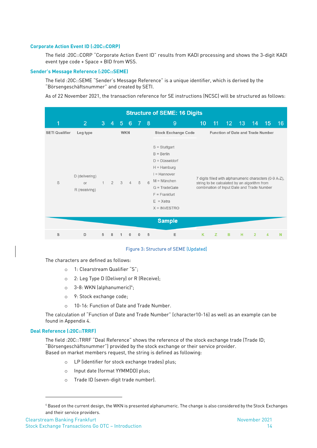#### **Corporate Action Event ID (:20C::CORP)**

The field :20C::CORP "Corporate Action Event ID" results from KADI processing and shows the 3-digit KADI event type code + Space + BID from WSS.

#### **Sender's Message Reference (:20C::SEME)**

The field :20C::SEME "Sender's Message Reference" is a unique identifier, which is derived by the "Börsengeschäftsnummer" and created by SETI.

As of 22 November 2021, the transaction reference for SE instructions (NCSC) will be structured as follows:

| <b>Structure of SEME: 16 Digits</b> |                                                   |              |                |                 |                |               |    |                                                                                                                                                                                                                               |    |    |                                                                                                                                        |    |                 |                                                         |    |
|-------------------------------------|---------------------------------------------------|--------------|----------------|-----------------|----------------|---------------|----|-------------------------------------------------------------------------------------------------------------------------------------------------------------------------------------------------------------------------------|----|----|----------------------------------------------------------------------------------------------------------------------------------------|----|-----------------|---------------------------------------------------------|----|
|                                     | 2                                                 | 3            | 4              | 56              |                | $\mathcal{T}$ | -8 | 9                                                                                                                                                                                                                             | 10 | 11 | 12 <sub>2</sub>                                                                                                                        | 13 | $\overline{14}$ | 15                                                      | 16 |
| <b>SETI Qualifier</b><br>S          | Leg type<br>D (delivering)<br>or<br>R (receiving) | $\mathbf{1}$ | $\overline{2}$ | <b>WKN</b><br>3 | $\overline{4}$ | 5             | 6  | <b>Stock Exchange Code</b><br>$S =$ Stuttgart<br>$B = Berlin$<br>$D = D$ üsseldorf<br>$H =$ Hamburg<br>$=$ Hannover<br>$M = M$ ünchen<br>$G = TradeGate$<br>$F = Frankfurt$<br>$E = Xetra$<br>$X = INVESTRO$<br><b>Sample</b> |    |    | <b>Function of Date and Trade Number</b><br>string to be calculated by an algorithm from<br>combination of Input Date and Trade Number |    |                 | 7 digits filled with alphanumeric characters (0-9 A-Z), |    |
|                                     |                                                   |              |                |                 |                |               |    |                                                                                                                                                                                                                               |    |    |                                                                                                                                        |    |                 |                                                         |    |
| S                                   | D                                                 | 5            | 8              |                 | 0              | $\mathbf{0}$  | 5  | Ε                                                                                                                                                                                                                             | K  | z  | в                                                                                                                                      | н  | $\overline{2}$  | 4                                                       | N  |

#### Figure 3: Structure of SEME (Updated)

The characters are defined as follows:

- o 1: Clearstream Qualifier "S";
- o 2: Leg Type D (Delivery) or R (Receive);
- $\circ$  3-8: WKN (alphanumeric)<sup>4</sup>;
- o 9: Stock exchange code;
- o 10-16: Function of Date and Trade Number.

The calculation of "Function of Date and Trade Number" (character10-16) as well as an example can be found i[n Appendix 4.](#page-46-2)

### **Deal Reference (:20C::TRRF)**

The field :20C::TRRF "Deal Reference" shows the reference of the stock exchange trade (Trade ID; "Börsengeschäftsnummer") provided by the stock exchange or their service provider. Based on market members request, the string is defined as following:

- o LP (identifier for stock exchange trades) plus;
- o Input date (format YYMMDD) plus;
- o Trade ID (seven-digit trade number).

<sup>4</sup> Based on the current design, the WKN is presented alphanumeric. The change is also considered by the Stock Exchanges and their service providers.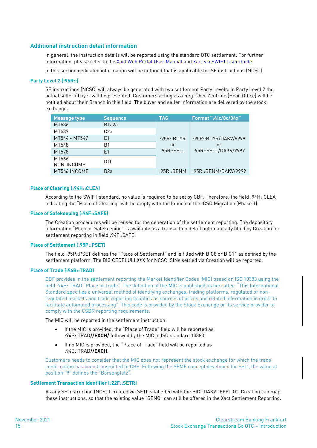## **Additional instruction detail information**

In general, the instruction details will be reported using the standard OTC settlement. For further information, please refer to the [Xact Web Portal User Manual](https://www.clearstream.com/clearstream-en/products-and-services/connectivity-1-/xact-web-portal-documentation-1306378) and Xact [via SWIFT User Guide.](https://www.clearstream.com/clearstream-en/products-and-services/connectivity-1-/xact-via-swift-user-guide-1289256)

In this section dedicated information will be outlined that is applicable for SE instructions (NCSC).

#### **Party Level 2 (:95R::)**

SE instructions (NCSC) will always be generated with two settlement Party Levels. In Party Level 2 the actual seller / buyer will be presented. Customers acting as a Reg-Über Zentrale (Head Office) will be notified about their Branch in this field. The buyer and seller information are delivered by the stock exchange.

| <b>Message type</b> | <b>Sequence</b>                 | <b>TAG</b> | Format ":4!c/8c/34x" |
|---------------------|---------------------------------|------------|----------------------|
| MT536               | B <sub>1</sub> a <sub>2</sub> a |            |                      |
| MT537               | C <sub>2</sub> a                |            |                      |
| MT544 - MT547       | E1                              | :95R::BUYR | :95R::BUYR/DAKV/9999 |
| MT548               | <b>B1</b>                       | or         | or                   |
| MT578               | F <sub>1</sub>                  | :95R::SELL | :95R::SELL/DAKV/9999 |
| MT566<br>NON-INCOME | D <sub>1</sub> b                |            |                      |
| MT566 INCOME        | D2a                             | :95R::BENM | :95R::BENM/DAKV/9999 |

#### **Place of Clearing (:94H::CLEA)**

According to the SWIFT standard, no value is required to be set by CBF. Therefore, the field :94H::CLEA indicating the "Place of Clearing" will be empty with the launch of the ICSD Migration (Phase 1).

#### **Place of Safekeeping (:94F::SAFE)**

The Creation procedures will be reused for the generation of the settlement reporting. The depository information "Place of Safekeeping" is available as a transaction detail automatically filled by Creation for settlement reporting in field :94F::SAFE.

#### **Place of Settlement (:95P::PSET)**

The field :95P::PSET defines the "Place of Settlement" and is filled with BIC8 or BIC11 as defined by the settlement platform. The BIC CEDELULLXXX for NCSC ISINs settled via Creation will be reported.

#### **Place of Trade (:94B::TRAD)**

CBF provides in the settlement reporting the Market Identifier Codes (MIC) based on ISO 10383 using the field :94B::TRAD "Place of Trade". The definition of the MIC is published as hereafter: "This International Standard specifies a universal method of identifying exchanges, trading platforms, regulated or nonregulated markets and trade reporting facilities as sources of prices and related information in order to facilitate automated processing". This code is provided by the Stock Exchange or its service provider to comply with the CSDR reporting requirements.

The MIC will be reported in the settlement instruction:

- If the MIC is provided, the "Place of Trade" field will be reported as :94B::TRAD**//EXCH/** followed by the MIC in ISO standard 10383.
- If no MIC is provided, the "Place of Trade" field will be reported as :94B::TRAD**//EXCH**.

Customers needs to consider that the MIC does not represent the stock exchange for which the trade confirmation has been transmitted to CBF. Following the SEME concept developed for SETI, the value at position "9" defines the "Börsenplatz".

### **Settlement Transaction Identifier (:22F::SETR)**

As any SE instruction (NCSC) created via SETI is labelled with the BIC "DAKVDEFFLIO", Creation can map these instructions, so that the existing value "SENO" can still be offered in the Xact Settlement Reporting.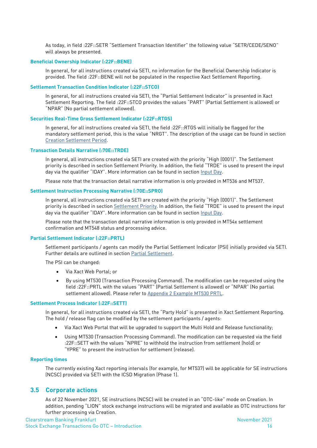As today, in field :22F::SETR "Settlement Transaction Identifier" the following value "SETR/CEDE/SENO" will always be presented.

#### **Beneficial Ownership Indicator (:22F::BENE)**

In general, for all instructions created via SETI, no information for the Beneficial Ownership Indicator is provided. The field :22F::BENE will not be populated in the respective Xact Settlement Reporting.

#### **Settlement Transaction Condition Indicator (:22F::STCO)**

In general, for all instructions created via SETI, the "Partial Settlement Indicator" is presented in Xact Settlement Reporting. The field :22F::STCO provides the values "PART" (Partial Settlement is allowed) or "NPAR" (No partial settlement allowed).

#### **Securities Real-Time Gross Settlement Indicator (:22F::RTGS)**

In general, for all instructions created via SETI, the field :22F::RTGS will initially be flagged for the mandatory settlement period, this is the value "NRGT". The description of the usage can be found in section Creation [Settlement Period.](#page-11-0)

#### **Transaction Details Narrative (:70E::TRDE)**

In general, all instructions created via SETI are created with the priority "High (0001)". The Settlement priority is described in section [Settlement Priority.](#page-11-1) In addition, the field "TRDE" is used to present the input day via the qualifier "IDAY". More information can be found in section [Input Day.](#page-12-2)

Please note that the transaction detail narrative information is only provided in MT536 and MT537.

#### **Settlement Instruction Processing Narrative (:70E::SPRO)**

In general, all instructions created via SETI are created with the priority "High (0001)". The Settlement priority is described in section [Settlement Priority.](#page-11-1) In addition, the field "TRDE" is used to present the input day via the qualifier "IDAY". More information can be found in section [Input Day.](#page-12-2)

Please note that the transaction detail narrative information is only provided in MT54x settlement confirmation and MT548 status and processing advice.

#### **Partial Settlement Indicator (:22F::PRTL)**

Settlement participants / agents can modify the Partial Settlement Indicator (PSI) initially provided via SETI. Further details are outlined in sectio[n Partial Settlement.](#page-10-0)

The PSI can be changed:

- Via Xact Web Portal; or
- By using MT530 (Transaction Processing Command). The modification can be requested using the field :22F::PRTL with the values "PART" (Partial Settlement is allowed) or "NPAR" (No partial settlement allowed). Please refer to [Appendix 2](#page-26-2) [Example MT530 PRTL.](#page-26-3)

#### **Settlement Process Indicator (:22F::SETT)**

In general, for all instructions created via SETI, the "Party Hold" is presented in Xact Settlement Reporting. The hold / release flag can be modified by the settlement participants / agents:

- Via Xact Web Portal that will be upgraded to support the Multi Hold and Release functionality;
- Using MT530 (Transaction Processing Command). The modification can be requested via the field :22F::SETT with the values "NPRE" to withhold the instruction from settlement (hold) or "YPRE" to present the instruction for settlement (release).

#### **Reporting times**

The currently existing Xact reporting intervals (for example, for MT537) will be applicable for SE instructions (NCSC) provided via SETI with the ICSD Migration (Phase 1).

### <span id="page-17-0"></span>**3.5 Corporate actions**

As of 22 November 2021, SE instructions (NCSC) will be created in an "OTC-like" mode on Creation. In addition, pending "LION" stock exchange instructions will be migrated and available as OTC instructions for further processing via Creation.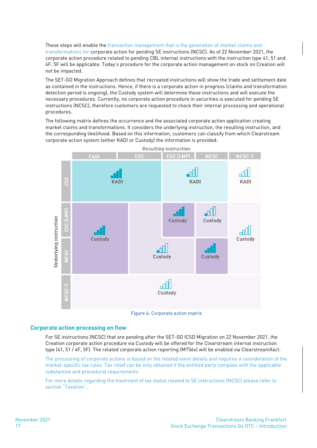These steps will enable the transaction management that is the generation of market claims and transformations for corporate action for pending SE instructions (NCSC). As of 22 November 2021, the corporate action procedure related to pending CBL internal instructions with the instruction type 41, 51 and 4F, 5F will be applicable. Today's procedure for the corporate action management on stock on Creation will not be impacted.

The SET-GO Migration Approach defines that recreated instructions will show the trade and settlement date as contained in the instructions. Hence, if there is a corporate action in progress (claims and transformation detection period is ongoing), the Custody system will determine these instructions and will execute the necessary procedures. Currently, no corporate action procedure in securities is executed for pending SE instructions (NCSC), therefore customers are requested to check their internal processing and operational procedures.

The following matrix defines the occurrence and the associated corporate action application creating market claims and transformations. It considers the underlying instruction, the resulting instruction, and the corresponding likelihood. Based on this information, customers can classify from which Clearstream corporate action system (either KADI or Custody) the information is provided:



#### Figure 4: Corporate action matrix

#### **Corporate action processing on flow**

For SE instructions (NCSC) that are pending after the SET-GO ICSD Migration on 22 November 2021, the Creation corporate action procedure via Custody will be offered for the Clearstream internal instruction type (41, 51 / 4F, 5F). The related corporate action reporting (MT56x) will be enabled via ClearstreamXact.

The processing of corporate actions is based on the related event details and requires a consideration of the market-specific tax rules. Tax relief can be only obtained if the entitled party complies with the applicable substantive and procedural requirements.

For more details regarding the treatment of tax status related to SE instructions (NCSC) please refer to section "Taxation".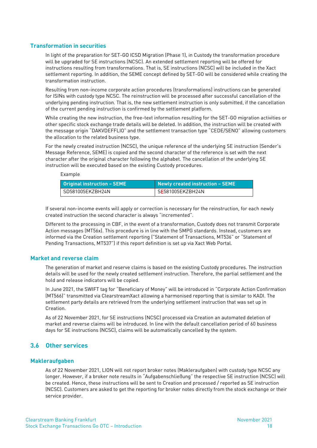## **Transformation in securities**

In light of the preparation for SET-GO ICSD Migration (Phase 1), in Custody the transformation procedure will be upgraded for SE instructions (NCSC). An extended settlement reporting will be offered for instructions resulting from transformations. That is, SE instructions (NCSC) will be included in the Xact settlement reporting. In addition, the SEME concept defined by SET-GO will be considered while creating the transformation instruction.

Resulting from non-income corporate action procedures (transformations) instructions can be generated for ISINs with custody type NCSC. The reinstruction will be processed after successful cancellation of the underlying pending instruction. That is, the new settlement instruction is only submitted, if the cancellation of the current pending instruction is confirmed by the settlement platform.

While creating the new instruction, the free-text information resulting for the SET-GO migration activities or other specific stock exchange trade details will be deleted. In addition, the instruction will be created with the message origin "DAKVDEFFLIO" and the settlement transaction type "CEDE/SENO" allowing customers the allocation to the related business type.

For the newly created instruction (NCSC), the unique reference of the underlying SE instruction (Sender's Message Reference, SEME) is copied and the second character of the reference is set with the next character after the original character following the alphabet. The cancellation of the underlying SE instruction will be executed based on the existing Custody procedures.

| $\,$ Original instruction – SEME $^{\,\prime}$ | Newly created instruction - SEME |
|------------------------------------------------|----------------------------------|
| SD581005EKZBH24N                               | SE581005EKZBH24N                 |

If several non-income events will apply or correction is necessary for the reinstruction, for each newly created instruction the second character is always "incremented".

Different to the processing in CBF, in the event of a transformation, Custody does not transmit Corporate Action messages (MT56x). This procedure is in line with the SMPG standards. Instead, customers are informed via the Creation settlement reporting ("Statement of Transactions, MT536" or "Statement of Pending Transactions, MT537") if this report definition is set up via Xact Web Portal.

### **Market and reverse claim**

Example

The generation of market and reserve claims is based on the existing Custody procedures. The instruction details will be used for the newly created settlement instruction. Therefore, the partial settlement and the hold and release indicators will be copied.

In June 2021, the SWIFT tag for "Beneficiary of Money" will be introduced in "Corporate Action Confirmation (MT566)" transmitted via ClearstreamXact allowing a harmonised reporting that is similar to KADI. The settlement party details are retrieved from the underlying settlement instruction that was set up in Creation.

As of 22 November 2021, for SE instructions (NCSC) processed via Creation an automated deletion of market and reverse claims will be introduced. In line with the default cancellation period of 60 business days for SE instructions (NCSC), claims will be automatically cancelled by the system.

## <span id="page-19-0"></span>**3.6 Other services**

## **Makleraufgaben**

As of 22 November 2021, LION will not report broker notes (Makleraufgaben) with custody type NCSC any longer. However, if a broker note results in "Aufgabenschließung" the respective SE instruction (NCSC) will be created. Hence, these instructions will be sent to Creation and processed / reported as SE instruction (NCSC). Customers are asked to get the reporting for broker notes directly from the stock exchange or their service provider.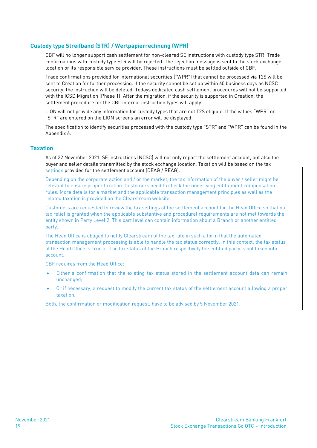## **Custody type Streifband (STR) / Wertpapierrechnung (WPR)**

CBF will no longer support cash settlement for non-cleared SE instructions with custody type STR. Trade confirmations with custody type STR will be rejected. The rejection message is sent to the stock exchange location or its responsible service provider. These instructions must be settled outside of CBF.

Trade confirmations provided for international securities ("WPR") that cannot be processed via T2S will be sent to Creation for further processing. If the security cannot be set up within 60 business days as NCSC security, the instruction will be deleted. Todays dedicated cash settlement procedures will not be supported with the ICSD Migration (Phase 1). After the migration, if the security is supported in Creation, the settlement procedure for the CBL internal instruction types will apply.

LION will not provide any information for custody types that are not T2S eligible. If the values "WPR" or "STR" are entered on the LION screens an error will be displayed.

The specification to identify securities processed with the custody type "STR" and "WPR" can be found in the [Appendix 6.](#page-49-2)

## **Taxation**

As of 22 November 2021, SE instructions (NCSC) will not only report the settlement account, but also the buyer and seller details transmitted by the stock exchange location. Taxation will be based on the tax settings provided for the settlement account (DEAG / REAG).

Depending on the corporate action and / or the market, the tax information of the buyer / seller might be relevant to ensure proper taxation. Customers need to check the underlying entitlement compensation rules. More details for a market and the applicable transaction management principles as well as the related taxation is provided on th[e Clearstream website.](https://www.clearstream.com/clearstream-en/products-and-services/market-coverage)

Customers are requested to review the tax settings of the settlement account for the Head Office so that no tax relief is granted when the applicable substantive and procedural requirements are not met towards the entity shown in Party Level 2. This part level can contain information about a Branch or another entitled party.

The Head Office is obliged to notify Clearstream of the tax rate in such a form that the automated transaction management processing is able to handle the tax status correctly. In this context, the tax status of the Head Office is crucial. The tax status of the Branch respectively the entitled party is not taken into account.

CBF requires from the Head Office:

- Either a confirmation that the existing tax status stored in the settlement account data can remain unchanged;
- Or if necessary, a request to modify the current tax status of the settlement account allowing a proper taxation.

Both, the confirmation or modification request, have to be advised by 5 November 2021.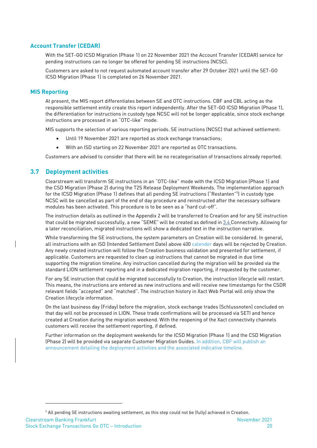## **Account Transfer (CEDAR)**

With the SET-GO ICSD Migration (Phase 1) on 22 November 2021 the Account Transfer (CEDAR) service for pending instructions can no longer be offered for pending SE instructions (NCSC).

Customers are asked to not request automated account transfer after 29 October 2021 until the SET-GO ICSD Migration (Phase 1) is completed on 26 November 2021.

#### **MIS Reporting**

At present, the MIS report differentiates between SE and OTC instructions. CBF and CBL acting as the responsible settlement entity create this report independently. After the SET-GO ICSD Migration (Phase 1), the differentiation for instructions in custody type NCSC will not be longer applicable, since stock exchange instructions are processed in an "OTC-like" mode.

MIS supports the selection of various reporting periods. SE instructions (NCSC) that achieved settlement:

- Until 19 November 2021 are reported as stock exchange transactions;
- With an ISD starting on 22 November 2021 are reported as OTC transactions.

Customers are advised to consider that there will be no recategorisation of transactions already reported.

## <span id="page-21-0"></span>**3.7 Deployment activities**

Clearstream will transform SE instructions in an "OTC-like" mode with the ICSD Migration (Phase 1) and the CSD Migration (Phase 2) during the T2S Release Deployment Weekends. The implementation approach for the ICSD Migration (Phase 1) defines that all pending SE instructions ("Restanten"<sup>5</sup> ) in custody type NCSC will be cancelled as part of the end of day procedure and reinstructed after the necessary software modules has been activated. This procedure is to be seen as a "hard cut-off".

The instruction details as outlined in th[e Appendix 2](#page-26-2) will be transferred to Creation and for any SE instruction that could be migrated successfully, a new "SEME" will be created as defined in [3.4](#page-12-3) [Connectivity.](#page-12-3) Allowing for a later reconciliation, migrated instructions will show a dedicated text in the instruction narrative.

While transforming the SE instructions, the system parameters on Creation will be considered. In general, all instructions with an ISD (Intended Settlement Date) above 400 calender days will be rejected by Creation. Any newly created instruction will follow the Creation business validation and presented for settlement, if applicable. Customers are requested to clean up instructions that cannot be migrated in due time supporting the migration timeline. Any instruction cancelled during the migration will be provided via the standard LION settlement reporting and in a dedicated migration reporting, if requested by the customer.

For any SE instruction that could be migrated successfully to Creation, the instruction lifecycle will restart. This means, the instructions are entered as new instructions and will receive new timestamps for the CSDR relevant fields "accepted" and "matched". The instruction history in Xact Web Portal will only show the Creation lifecycle information.

On the last business day (Friday) before the migration, stock exchange trades (Schlussnoten) concluded on that day will not be processed in LION. These trade confirmations will be processed via SETI and hence created at Creation during the migration weekend. With the reopening of the Xact connectivity channels customers will receive the settlement reporting, if defined.

<span id="page-21-1"></span>Further information on the deployment weekends for the ICSD Migration (Phase 1) and the CSD Migration (Phase 2) will be provided via separate Customer Migration Guides. In addition, CBF will publish an announcement detailing the deployment activities and the associated indicative timeline.

 $5$  All pending SE instructions awaiting settlement, as this step could not be (fully) achieved in Creation.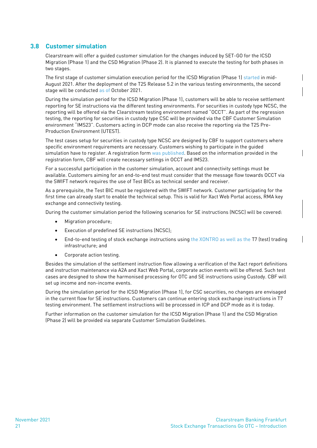## **3.8 Customer simulation**

Clearstream will offer a guided customer simulation for the changes induced by SET-GO for the ICSD Migration (Phase 1) and the CSD Migration (Phase 2). It is planned to execute the testing for both phases in two stages.

The first stage of customer simulation execution period for the ICSD Migration (Phase 1) started in mid-August 2021. After the deployment of the T2S Release 5.2 in the various testing environments, the second stage will be conducted as of October 2021.

During the simulation period for the ICSD Migration (Phase 1), customers will be able to receive settlement reporting for SE instructions via the different testing environments. For securities in custody type NCSC, the reporting will be offered via the Clearstream testing environment named "OCCT". As part of the regression testing, the reporting for securities in custody type CSC will be provided via the CBF Customer Simulation environment "IMS23". Customers acting in DCP mode can also receive the reporting via the T2S Pre-Production Environment (UTEST).

The test cases setup for securities in custody type NCSC are designed by CBF to support customers where specific environment requirements are necessary. Customers wishing to participate in the guided simulation have to register. A registration form was published. Based on the information provided in the registration form, CBF will create necessary settings in OCCT and IMS23.

For a successful participation in the customer simulation, account and connectivity settings must be available. Customers aiming for an end-to-end test must consider that the message flow towards OCCT via the SWIFT network requires the use of Test BICs as technical sender and receiver.

As a prerequisite, the Test BIC must be registered with the SWIFT network. Customer participating for the first time can already start to enable the technical setup. This is valid for Xact Web Portal access, RMA key exchange and connectivity testing.

During the customer simulation period the following scenarios for SE instructions (NCSC) will be covered:

- Migration procedure;
- Execution of predefined SE instructions (NCSC);
- End-to-end testing of stock exchange instructions using the XONTRO as well as the T7 (test) trading infrastructure; and
- Corporate action testing.

Besides the simulation of the settlement instruction flow allowing a verification of the Xact report definitions and instruction maintenance via A2A and Xact Web Portal, corporate action events will be offered. Such test cases are designed to show the harmonised processing for OTC and SE instructions using Custody. CBF will set up income and non-income events.

During the simulation period for the ICSD Migration (Phase 1), for CSC securities, no changes are envisaged in the current flow for SE instructions. Customers can continue entering stock exchange instructions in T7 testing environment. The settlement instructions will be processed in ICP and DCP mode as it is today.

Further information on the customer simulation for the ICSD Migration (Phase 1) and the CSD Migration (Phase 2) will be provided via separate Customer Simulation Guidelines.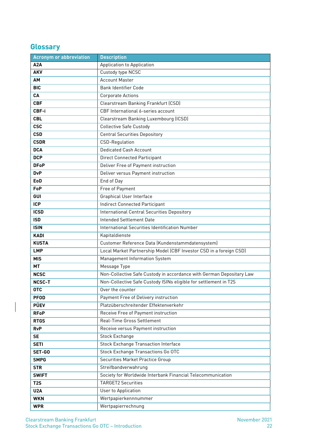## <span id="page-23-0"></span>**Glossary**

| <b>Acronym or abbreviation</b> | <b>Description</b>                                                   |
|--------------------------------|----------------------------------------------------------------------|
| A2A                            | <b>Application to Application</b>                                    |
| AKV                            | Custody type NCSC                                                    |
| AM                             | <b>Account Master</b>                                                |
| <b>BIC</b>                     | <b>Bank Identifier Code</b>                                          |
| <b>CA</b>                      | <b>Corporate Actions</b>                                             |
| <b>CBF</b>                     | Clearstream Banking Frankfurt (CSD)                                  |
| CBF-i                          | CBF International 6-series account                                   |
| <b>CBL</b>                     | Clearstream Banking Luxembourg (ICSD)                                |
| <b>CSC</b>                     | <b>Collective Safe Custody</b>                                       |
| <b>CSD</b>                     | <b>Central Securities Depository</b>                                 |
| <b>CSDR</b>                    | CSD-Regulation                                                       |
| <b>DCA</b>                     | <b>Dedicated Cash Account</b>                                        |
| <b>DCP</b>                     | <b>Direct Connected Participant</b>                                  |
| <b>DFoP</b>                    | Deliver Free of Payment instruction                                  |
| <b>DvP</b>                     | Deliver versus Payment instruction                                   |
| EoD                            | End of Day                                                           |
| FoP                            | Free of Payment                                                      |
| GUI                            | Graphical User Interface                                             |
| <b>ICP</b>                     | <b>Indirect Connected Participant</b>                                |
| <b>ICSD</b>                    | International Central Securities Depository                          |
| <b>ISD</b>                     | Intended Settlement Date                                             |
| <b>ISIN</b>                    | International Securities Identification Number                       |
| <b>KADI</b>                    | Kapitaldienste                                                       |
| <b>KUSTA</b>                   | Customer Reference Data (Kundenstammdatensystem)                     |
| <b>LMP</b>                     | Local Market Partnership Model (CBF Investor CSD in a foreign CSD)   |
| <b>MIS</b>                     | Management Information System                                        |
| <b>MT</b>                      | Message Type                                                         |
| <b>NCSC</b>                    | Non-Collective Safe Custody in accordance with German Depositary Law |
| <b>NCSC-T</b>                  | Non-Collective Safe Custody ISINs eligible for settlement in T2S     |
| <b>OTC</b>                     | Over the counter                                                     |
| <b>PFOD</b>                    | Payment Free of Delivery instruction                                 |
| <b>PÜEV</b>                    | Platzüberschreitender Effektenverkehr                                |
| <b>RFoP</b>                    | Receive Free of Payment instruction                                  |
| <b>RTGS</b>                    | Real-Time Gross Settlement                                           |
| <b>RvP</b>                     | Receive versus Payment instruction                                   |
| <b>SE</b>                      | Stock Exchange                                                       |
| <b>SETI</b>                    | <b>Stock Exchange Transaction Interface</b>                          |
| SET-GO                         | Stock Exchange Transactions Go OTC                                   |
| <b>SMPG</b>                    | Securities Market Practice Group                                     |
| <b>STR</b>                     | Streifbandverwahrung                                                 |
| <b>SWIFT</b>                   | Society for Worldwide Interbank Financial Telecommunication          |
| T <sub>2</sub> S               | <b>TARGET2 Securities</b>                                            |
| <b>U2A</b>                     | User to Application                                                  |
| <b>WKN</b>                     | Wertpapierkennnummer                                                 |
| <b>WPR</b>                     | Wertpapierrechnung                                                   |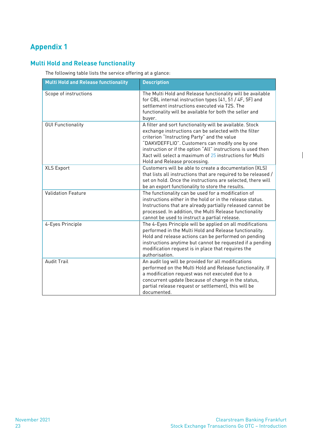## <span id="page-24-0"></span>**Appendix 1**

## <span id="page-24-1"></span>**Multi Hold and Release functionality**

The following table lists the service offering at a glance:

| <b>Multi Hold and Release functionality</b> | <b>Description</b>                                                                                                                                                                                                                                                                                                                                                            |
|---------------------------------------------|-------------------------------------------------------------------------------------------------------------------------------------------------------------------------------------------------------------------------------------------------------------------------------------------------------------------------------------------------------------------------------|
| Scope of instructions                       | The Multi Hold and Release functionality will be available<br>for CBL internal instruction types (41, 51 / 4F, 5F) and<br>settlement instructions executed via T2S. The<br>functionality will be available for both the seller and<br>buyer.                                                                                                                                  |
| <b>GUI Functionality</b>                    | A filter and sort functionality will be available. Stock<br>exchange instructions can be selected with the filter<br>criterion "Instructing Party" and the value<br>"DAKVDEFFLIO". Customers can modify one by one<br>instruction or if the option "All" instructions is used then<br>Xact will select a maximum of 25 instructions for Multi<br>Hold and Release processing. |
| <b>XLS Export</b>                           | Customers will be able to create a documentation (XLS)<br>that lists all instructions that are required to be released /<br>set on hold. Once the instructions are selected, there will<br>be an export functionality to store the results.                                                                                                                                   |
| <b>Validation Feature</b>                   | The functionality can be used for a modification of<br>instructions either in the hold or in the release status.<br>Instructions that are already partially released cannot be<br>processed. In addition, the Multi Release functionality<br>cannot be used to instruct a partial release.                                                                                    |
| 4-Eyes Principle                            | The 4-Eyes Principle will be applied on all modifications<br>performed in the Multi Hold and Release functionality.<br>Hold and release actions can be performed on pending<br>instructions anytime but cannot be requested if a pending<br>modification request is in place that requires the<br>authorisation.                                                              |
| <b>Audit Trail</b>                          | An audit log will be provided for all modifications<br>performed on the Multi Hold and Release functionality. If<br>a modification request was not executed due to a<br>concurrent update (because of change in the status,<br>partial release request or settlement), this will be<br>documented.                                                                            |

 $\overline{\phantom{a}}$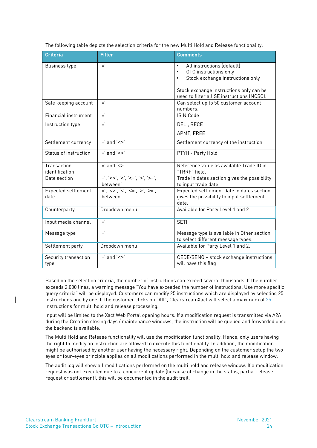The following table depicts the selection criteria for the new Multi Hold and Release functionality.

| <b>Criteria</b>               | <b>Filter</b>                                                                                                                                                                                                                                   | <b>Comments</b>                                                                                                                                                                                                         |
|-------------------------------|-------------------------------------------------------------------------------------------------------------------------------------------------------------------------------------------------------------------------------------------------|-------------------------------------------------------------------------------------------------------------------------------------------------------------------------------------------------------------------------|
| <b>Business type</b>          | $'="$                                                                                                                                                                                                                                           | All instructions (default)<br>$\bullet$<br>OTC instructions only<br>$\bullet$<br>Stock exchange instructions only<br>$\bullet$<br>Stock exchange instructions only can be<br>used to filter all SE instructions (NCSC). |
| Safe keeping account          | ੁ                                                                                                                                                                                                                                               | Can select up to 50 customer account<br>numbers.                                                                                                                                                                        |
| Financial instrument          | ਾਂ                                                                                                                                                                                                                                              | <b>ISIN Code</b>                                                                                                                                                                                                        |
| Instruction type              | $\equiv$                                                                                                                                                                                                                                        | DELI, RECE                                                                                                                                                                                                              |
|                               |                                                                                                                                                                                                                                                 | APMT, FREE                                                                                                                                                                                                              |
| Settlement currency           | $\equiv$ and $\equiv$                                                                                                                                                                                                                           | Settlement currency of the instruction                                                                                                                                                                                  |
| Status of instruction         | $\equiv$ and $\langle \rangle$                                                                                                                                                                                                                  | PTYH - Party Hold                                                                                                                                                                                                       |
| Transaction<br>identification | $\equiv$ and $\equiv$                                                                                                                                                                                                                           | Reference value as available Trade ID in<br>"TRRF" field.                                                                                                                                                               |
| Date section                  | $\overleftarrow{=}$ , $\overleftarrow{<}$ , $\overleftarrow{<}$ , $\overleftarrow{<}$ , $\overleftarrow{<}$ , $\overleftarrow{>}$ , $\overleftarrow{>}$ , $\overleftarrow{>}$ ,<br>'between'                                                    | Trade in dates section gives the possibility<br>to input trade date.                                                                                                                                                    |
| Expected settlement<br>date   | $\overline{S}^{\mu\nu} = \frac{1}{2} \left( \frac{1}{2} \sum_{i=1}^{n} \frac{1}{2} \left( \frac{1}{2} \sum_{i=1}^{n} \frac{1}{2} \left( \frac{1}{2} \sum_{i=1}^{n} \frac{1}{2} \sum_{i=1}^{n} \frac{1}{2} \right) \right) \right)$<br>'between' | Expected settlement date in dates section<br>gives the possibility to input settlement<br>date.                                                                                                                         |
| Counterparty                  | Dropdown menu                                                                                                                                                                                                                                   | Available for Party Level 1 and 2                                                                                                                                                                                       |
| Input media channel           | $\equiv$                                                                                                                                                                                                                                        | <b>SETI</b>                                                                                                                                                                                                             |
| Message type                  | $\equiv$                                                                                                                                                                                                                                        | Message type is available in Other section<br>to select different message types.                                                                                                                                        |
| Settlement party              | Dropdown menu                                                                                                                                                                                                                                   | Available for Party Level 1 and 2.                                                                                                                                                                                      |
| Security transaction<br>type  | $'=$ and $'$ $\lt$ >'                                                                                                                                                                                                                           | CEDE/SENO - stock exchange instructions<br>will have this flag                                                                                                                                                          |

Based on the selection criteria, the number of instructions can exceed several thousands. If the number exceeds 2,000 lines, a warning message "You have exceeded the number of instructions. Use more specific query criteria" will be displayed. Customers can modify 25 instructions which are displayed by selecting 25 instructions one by one. If the customer clicks on "All", ClearstreamXact will select a maximum of 25 instructions for multi hold and release processing.

Input will be limited to the Xact Web Portal opening hours. If a modification request is transmitted via A2A during the Creation closing days / maintenance windows, the instruction will be queued and forwarded once the backend is available.

The Multi Hold and Release functionality will use the modification functionality. Hence, only users having the right to modify an instruction are allowed to execute this functionality. In addition, the modification might be authorised by another user having the necessary right. Depending on the customer setup the twoeyes or four-eyes principle applies on all modifications performed in the multi hold and release window.

The audit log will show all modifications performed on the multi hold and release window. If a modification request was not executed due to a concurrent update (because of change in the status, partial release request or settlement), this will be documented in the audit trail.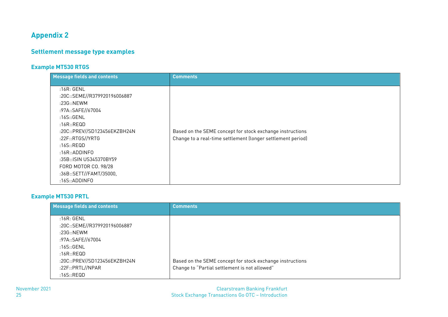## **Appendix 2**

## **Settlement message type examples**

## **Example MT530 RTGS**

| <b>Message fields and contents</b> | <b>Comments</b>                                             |
|------------------------------------|-------------------------------------------------------------|
|                                    |                                                             |
| :16R: GENL                         |                                                             |
| :20C::SEME//R379920196006887       |                                                             |
| :23G::NEWM                         |                                                             |
| :97A::SAFE//67004                  |                                                             |
| :16S::GENL                         |                                                             |
| :16 $R$ ::REQD                     |                                                             |
| :20C::PREV//SD123456EKZBH24N       | Based on the SEME concept for stock exchange instructions   |
| :22F::RTGS//YRTG                   | Change to a real-time settlement (longer settlement period) |
| :16S $::$ REQD                     |                                                             |
| :16R::ADDINFO                      |                                                             |
| :35B:: ISIN US345370BY59           |                                                             |
| FORD MOTOR CO. 98/28               |                                                             |
| :36B::SETT//FAMT/35000,            |                                                             |
| :16S::ADDINFO                      |                                                             |

## <span id="page-26-2"></span><span id="page-26-1"></span><span id="page-26-0"></span>**Example MT530 PRTL**

<span id="page-26-3"></span>

| <b>Message fields and contents</b> | <b>Comments</b>                                           |
|------------------------------------|-----------------------------------------------------------|
|                                    |                                                           |
| :16R:GENL                          |                                                           |
| :20C::SEME//R379920196006887       |                                                           |
| :23G::NEWM                         |                                                           |
| :97A::SAFE//67004                  |                                                           |
| :16S::GENI                         |                                                           |
| :16 $R$ ::REQD                     |                                                           |
| :20C::PREV//SD123456EKZBH24N       | Based on the SEME concept for stock exchange instructions |
| :22F::PRTL//NPAR                   | Change to "Partial settlement is not allowed"             |
| :16S::REQD                         |                                                           |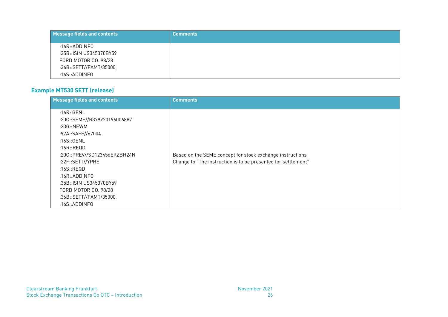| Message fields and contents | <b>Comments</b> |
|-----------------------------|-----------------|
| :16R::ADDINFO               |                 |
| :35B::ISIN US345370BY59     |                 |
| FORD MOTOR CO. 98/28        |                 |
| :36B::SETT//FAMT/35000,     |                 |
| :16S::ADDINFO               |                 |

## **Example MT530 SETT (release)**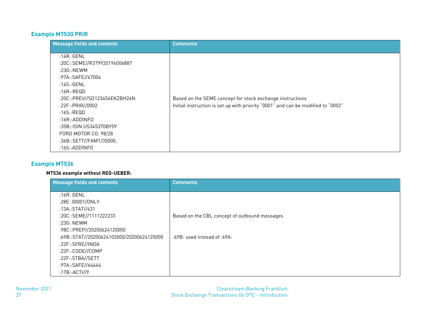## **Example MT530 PRIR**

| <b>Message fields and contents</b>                                                                                                                                                                                                                                                                 | <b>Comments</b>                                                                                                                               |
|----------------------------------------------------------------------------------------------------------------------------------------------------------------------------------------------------------------------------------------------------------------------------------------------------|-----------------------------------------------------------------------------------------------------------------------------------------------|
| :16R:GENL<br>:20C::SEME//R379920196006887<br>:23G::NEWM<br>:97A::SAFE//67004<br>:16S::GENL<br>:16 $R$ ::REQD<br>:20C::PREV//SD123456EKZBH24N<br>:22F::PRIR//0002<br>:16S $::$ REQD<br>:16R::ADDINFO<br>:35B::ISIN US345370BY59<br>FORD MOTOR CO. 98/28<br>:36B::SETT//FAMT/35000,<br>:16S::ADDINFO | Based on the SEME concept for stock exchange instructions<br>Initial instruction is set up with priority "0001" and can be modified to "0002" |

## **Example MT536**

## **MT536 example without REG-UEBER:**

| <b>Message fields and contents</b>        | <b>Comments</b>                               |
|-------------------------------------------|-----------------------------------------------|
| :16R:GENL                                 |                                               |
| :28E: 00001/ONLY                          |                                               |
| :13A::STAT//431                           |                                               |
| :20C::SEME//1111222233                    | Based on the CBL concept of outbound messages |
| :23G: NEWM                                |                                               |
| :98C::PREP//20200624120000                |                                               |
| :69B::STAT//20200624103000/20200624120000 | $:69B:$ used instead of $:69A:$               |
| :22F::SFRE//INDA                          |                                               |
| :22F::CODE//COMP                          |                                               |
| :22F::STBA//SETT                          |                                               |
| :97A::SAFE//64444                         |                                               |
| :17B:: $ACTI/Y$                           |                                               |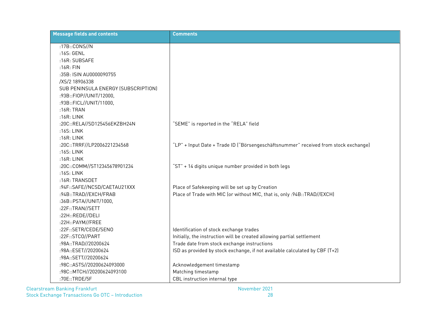| <b>Message fields and contents</b>  | <b>Comments</b>                                                                     |
|-------------------------------------|-------------------------------------------------------------------------------------|
| :17B::CONS//N                       |                                                                                     |
| :16S: GENL                          |                                                                                     |
| :16R: SUBSAFE                       |                                                                                     |
| :16R: FIN                           |                                                                                     |
| :35B: ISIN AU0000090755             |                                                                                     |
| /XS/2 18906338                      |                                                                                     |
| SUB PENINSULA ENERGY (SUBSCRIPTION) |                                                                                     |
| :93B::FIOP//UNIT/12000,             |                                                                                     |
| :93B::FICL//UNIT/11000,             |                                                                                     |
| :16R:TRAN                           |                                                                                     |
| :16R:LINK                           |                                                                                     |
| :20C::RELA//SD125456EKZBH24N        | "SEME" is reported in the "RELA" field                                              |
| :16S: LINK                          |                                                                                     |
| :16R:LINK                           |                                                                                     |
| :20C::TRRF//LP2006221234568         | "LP" + Input Date + Trade ID ("Börsengeschäftsnummer" received from stock exchange) |
| :16S:LINK                           |                                                                                     |
| :16R:LINK                           |                                                                                     |
| :20C::COMM//ST12345678901234        | "ST" + 14 digits unique number provided in both legs                                |
| :16S: LINK                          |                                                                                     |
| :16R: TRANSDET                      |                                                                                     |
| :94F::SAFE//NCSD/CAETAU21XXX        | Place of Safekeeping will be set up by Creation                                     |
| :94B::TRAD//EXCH/FRAB               | Place of Trade with MIC (or without MIC, that is, only : 94B:: TRAD//EXCH)          |
| :36B::PSTA//UNIT/1000,              |                                                                                     |
| :22F::TRAN//SETT                    |                                                                                     |
| :22H::REDE//DELI                    |                                                                                     |
| :22H::PAYM//FREE                    |                                                                                     |
| :22F::SETR/CEDE/SEN0                | Identification of stock exchange trades                                             |
| :22F::STCO//PART                    | Initially, the instruction will be created allowing partial settlement              |
| :98A::TRAD//20200624                | Trade date from stock exchange instructions                                         |
| :98A::ESET//20200624                | ISD as provided by stock exchange, if not available calculated by CBF (T+2)         |
| :98A::SETT//20200624                |                                                                                     |
| :98C::ASTS//20200624093000          | Acknowledgement timestamp                                                           |
| :98C::MTCH//20200624093100          | Matching timestamp                                                                  |
| :70E::TRDE/5F                       | CBL instruction internal type                                                       |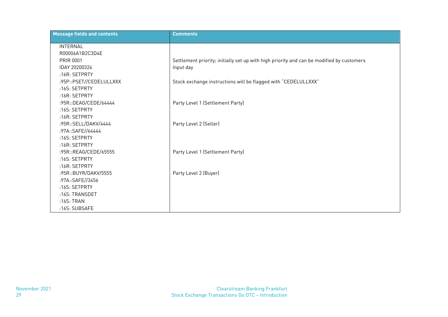| <b>Message fields and contents</b> | <b>Comments</b>                                                                           |
|------------------------------------|-------------------------------------------------------------------------------------------|
| <b>INTERNAL</b>                    |                                                                                           |
| R00004A1B2C3D4E                    |                                                                                           |
| <b>PRIR 0001</b>                   | Settlement priority; initially set up with high priority and can be modified by customers |
| IDAY 20200324                      | Input day                                                                                 |
| :16R: SETPRTY                      |                                                                                           |
| :95P::PSET//CEDELULLXXX            | Stock exchange instructions will be flagged with "CEDELULLXXX"                            |
| :16S: SETPRTY                      |                                                                                           |
| :16R: SETPRTY                      |                                                                                           |
| :95R::DEAG/CEDE/64444              | Party Level 1 (Settlement Party)                                                          |
| :16S: SETPRTY                      |                                                                                           |
| :16R: SETPRTY                      |                                                                                           |
| :95R::SELL/DAKV/4444               | Party Level 2 (Seller)                                                                    |
| :97A::SAFE//64444                  |                                                                                           |
| :16S: SETPRTY                      |                                                                                           |
| :16R:SETPRTY                       |                                                                                           |
| :95R::REAG/CEDE/65555              | Party Level 1 (Settlement Party)                                                          |
| :16S: SETPRTY                      |                                                                                           |
| :16R: SETPRTY                      |                                                                                           |
| :95R::BUYR/DAKV/5555               | Party Level 2 (Buyer)                                                                     |
| :97A::SAFE//3456                   |                                                                                           |
| :16S: SETPRTY                      |                                                                                           |
| :16S: TRANSDET                     |                                                                                           |
| :16S: TRAN                         |                                                                                           |
| :16S: SUBSAFE                      |                                                                                           |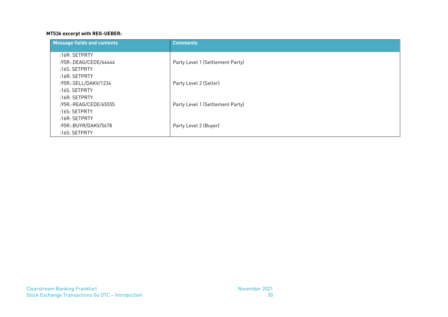## **MT536 excerpt with REG-UEBER:**

| Message fields and contents | <b>Comments</b>                  |
|-----------------------------|----------------------------------|
| :16R:SETPRTY                |                                  |
| :95R::DEAG/CEDE/64444       | Party Level 1 (Settlement Party) |
| :16S:SETPRTY                |                                  |
| :16R:SETPRTY                |                                  |
| :95R::SELL/DAKV/1234        | Party Level 2 (Seller)           |
| :16S:SETPRTY                |                                  |
| :16R:SETPRTY                |                                  |
| :95R::REAG/CEDE/65555       | Party Level 1 (Settlement Party) |
| :16S:SETPRTY                |                                  |
| :16R:SETPRTY                |                                  |
| :95R::BUYR/DAKV/5678        | Party Level 2 (Buyer)            |
| :16S:SETPRTY                |                                  |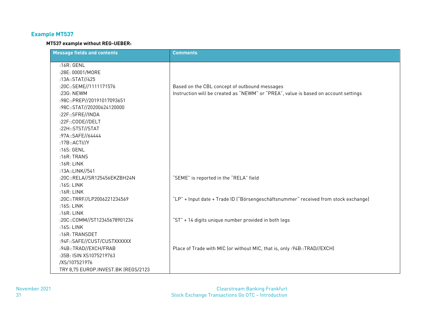## **Example MT537**

## **MT537 example without REG-UEBER:**

| <b>Message fields and contents</b>  | <b>Comments</b>                                                                     |
|-------------------------------------|-------------------------------------------------------------------------------------|
| :16R: GENL                          |                                                                                     |
| :28E: 00001/MORE                    |                                                                                     |
| :13A::STAT//425                     |                                                                                     |
| :20C::SEME//1111171576              | Based on the CBL concept of outbound messages                                       |
| :23G: NEWM                          | Instruction will be created as "NEWM" or "PREA", value is based on account settings |
| :98C::PREP//20191017093651          |                                                                                     |
| :98C::STAT//20200624120000          |                                                                                     |
| :22F::SFRE//INDA                    |                                                                                     |
| :22F::CODE//DELT                    |                                                                                     |
| :22H::STST//STAT                    |                                                                                     |
| :97A::SAFE//64444                   |                                                                                     |
| :17B:: $ACTI/Y$                     |                                                                                     |
| :16S: GENL                          |                                                                                     |
| :16R:TRANS                          |                                                                                     |
| $:16R:$ LINK                        |                                                                                     |
| :13A::LINK//541                     |                                                                                     |
| :20C::RELA//SR125456EKZBH24N        | "SEME" is reported in the "RELA" field                                              |
| :16S: LINK                          |                                                                                     |
| :16R: LINK                          |                                                                                     |
| :20C::TRRF//LP2006221234569         | "LP" + Input date + Trade ID ("Börsengeschäftsnummer" received from stock exchange) |
| $:16S:$ LINK                        |                                                                                     |
| $:16R:$ LINK                        |                                                                                     |
| :20C::COMM//ST12345678901234        | "ST" + 14 digits unique number provided in both legs                                |
| :16S: LINK                          |                                                                                     |
| :16R: TRANSDET                      |                                                                                     |
| :94F::SAFE//CUST/CUSTXXXXXX         |                                                                                     |
| :94B::TRAD//EXCH/FRAB               | Place of Trade with MIC (or without MIC, that is, only : 94B::TRAD//EXCH)           |
| :35B: ISIN XS1075219763             |                                                                                     |
| /XS/107521976                       |                                                                                     |
| TRY 8,75 EUROP.INVEST.BK (REGS/2123 |                                                                                     |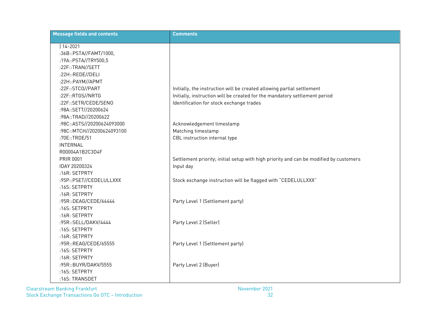| <b>Message fields and contents</b> | <b>Comments</b>                                                                        |
|------------------------------------|----------------------------------------------------------------------------------------|
| $] 14 - 2021$                      |                                                                                        |
| :36B::PSTA//FAMT/1000,             |                                                                                        |
| :19A::PSTA//TRY500,5               |                                                                                        |
| :22F::TRAN//SETT                   |                                                                                        |
| :22H::REDE//DELI                   |                                                                                        |
| :22H::PAYM//APMT                   |                                                                                        |
| :22F::STCO//PART                   | Initially, the instruction will be created allowing partial settlement                 |
| :22F::RTGS//NRTG                   | Initially, instruction will be created for the mandatory settlement period             |
| :22F::SETR/CEDE/SEN0               | Identification for stock exchange trades                                               |
| :98A::SETT//20200624               |                                                                                        |
| :98A::TRAD//20200622               |                                                                                        |
| :98C::ASTS//20200624093000         | Acknowledgement timestamp                                                              |
| :98C::MTCH//20200624093100         | Matching timestamp                                                                     |
| :70E::TRDE/51                      | CBL instruction internal type                                                          |
| <b>INTERNAL</b>                    |                                                                                        |
| R00004A1B2C3D4F                    |                                                                                        |
| <b>PRIR 0001</b>                   | Settlement priority; initial setup with high priority and can be modified by customers |
| IDAY 20200324                      | Input day                                                                              |
| :16R: SETPRTY                      |                                                                                        |
| :95P::PSET//CEDELULLXXX            | Stock exchange instruction will be flagged with "CEDELULLXXX"                          |
| :16S: SETPRTY                      |                                                                                        |
| :16R: SETPRTY                      |                                                                                        |
| :95R::DEAG/CEDE/64444              | Party Level 1 (Settlement party)                                                       |
| :16S: SETPRTY                      |                                                                                        |
| :16R: SETPRTY                      |                                                                                        |
| :95R::SELL/DAKV/4444               | Party Level 2 (Seller)                                                                 |
| :16S: SETPRTY                      |                                                                                        |
| :16R: SETPRTY                      |                                                                                        |
| :95R::REAG/CEDE/65555              | Party Level 1 (Settlement party)                                                       |
| :16S: SETPRTY                      |                                                                                        |
| :16R: SETPRTY                      |                                                                                        |
| :95R::BUYR/DAKV/5555               | Party Level 2 (Buyer)                                                                  |
| :16S: SETPRTY                      |                                                                                        |
| :16S: TRANSDET                     |                                                                                        |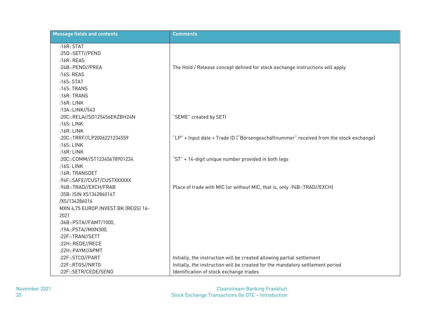| <b>Message fields and contents</b>  | <b>Comments</b>                                                                        |
|-------------------------------------|----------------------------------------------------------------------------------------|
| :16R: STAT                          |                                                                                        |
| :25D::SETT//PEND                    |                                                                                        |
| :16R: REAS                          |                                                                                        |
| :24B::PEND//PREA                    | The Hold / Release concept defined for stock exchange instructions will apply          |
| :16S: REAS                          |                                                                                        |
| :16S: STAT                          |                                                                                        |
| :16S: TRANS                         |                                                                                        |
| :16R: TRANS                         |                                                                                        |
| $:16R:$ LINK                        |                                                                                        |
| :13A::LINK//543                     |                                                                                        |
| :20C::RELA//SD125456EKZBH24N        | "SEME" created by SETI                                                                 |
| :16S: LINK                          |                                                                                        |
| :16R:LINK                           |                                                                                        |
| :20C::TRRF//LP2006221234559         | "LP" + Input date + Trade ID ("Börsengeschäftnummer" received from the stock exchange) |
| :16S: LINK                          |                                                                                        |
| :16R:LINK                           |                                                                                        |
| :20C::COMM//ST12345678901234        | "ST" + 14-digit unique number provided in both legs                                    |
| :16S:LINK                           |                                                                                        |
| :16R: TRANSDET                      |                                                                                        |
| :94F::SAFE//CUST/CUSTXXXXXX         |                                                                                        |
| :94B::TRAD//EXCH/FRAB               | Place of trade with MIC (or without MIC, that is, only : 94B::TRAD//EXCH)              |
| :35B: ISIN XS1342860167             |                                                                                        |
| /XS/134286016                       |                                                                                        |
| MXN 4,75 EUROP.INVEST.BK (REGS) 16- |                                                                                        |
| 2021                                |                                                                                        |
| :36B::PSTA//FAMT/1000,              |                                                                                        |
| :19A::PSTA//MXN300,                 |                                                                                        |
| :22F::TRAN//SETT                    |                                                                                        |
| :22H::REDE//RECE                    |                                                                                        |
| :22H::PAYM//APMT                    |                                                                                        |
| :22F::STCO//PART                    | Initially, the instruction will be created allowing partial settlement                 |
| :22F::RTGS//NRTG                    | Initially, the instruction will be created for the mandatory settlement period         |
| :22F::SETR/CEDE/SEN0                | Identification of stock exchange trades                                                |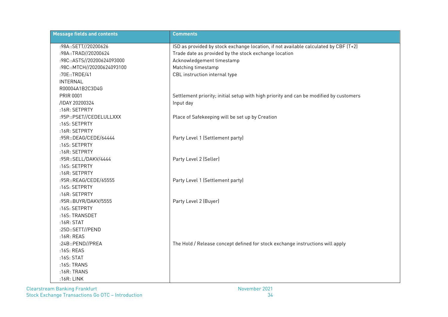| <b>Message fields and contents</b> | <b>Comments</b>                                                                        |
|------------------------------------|----------------------------------------------------------------------------------------|
| :98A::SETT//20200626               | ISD as provided by stock exchange location, if not available calculated by CBF (T+2)   |
| :98A::TRAD//20200624               | Trade date as provided by the stock exchange location                                  |
| :98C::ASTS//20200624093000         | Acknowledgement timestamp                                                              |
| :98C::MTCH//20200624093100         | Matching timestamp                                                                     |
| :70E::TRDE/41                      | CBL instruction internal type                                                          |
| INTERNAL                           |                                                                                        |
| R00004A1B2C3D4G                    |                                                                                        |
| <b>PRIR 0001</b>                   | Settlement priority; initial setup with high priority and can be modified by customers |
| /IDAY 20200324                     | Input day                                                                              |
| :16R: SETPRTY                      |                                                                                        |
| :95P::PSET//CEDELULLXXX            | Place of Safekeeping will be set up by Creation                                        |
| :16S: SETPRTY                      |                                                                                        |
| :16R: SETPRTY                      |                                                                                        |
| :95R::DEAG/CEDE/64444              | Party Level 1 (Settlement party)                                                       |
| :16S: SETPRTY                      |                                                                                        |
| :16R: SETPRTY                      |                                                                                        |
| :95R::SELL/DAKV/4444               | Party Level 2 (Seller)                                                                 |
| :16S: SETPRTY                      |                                                                                        |
| :16R: SETPRTY                      |                                                                                        |
| :95R::REAG/CEDE/65555              | Party Level 1 (Settlement party)                                                       |
| :16S: SETPRTY                      |                                                                                        |
| :16R: SETPRTY                      |                                                                                        |
| :95R::BUYR/DAKV/5555               | Party Level 2 (Buyer)                                                                  |
| :16S: SETPRTY                      |                                                                                        |
| :16S: TRANSDET                     |                                                                                        |
| :16R:STAT                          |                                                                                        |
| :25D::SETT//PEND                   |                                                                                        |
| :16R: REAS                         |                                                                                        |
| :24B::PEND//PREA                   | The Hold / Release concept defined for stock exchange instructions will apply          |
| :16S: REAS                         |                                                                                        |
| :16S: STAT                         |                                                                                        |
| :16S: TRANS                        |                                                                                        |
| :16R: TRANS                        |                                                                                        |
| :16R: LINK                         |                                                                                        |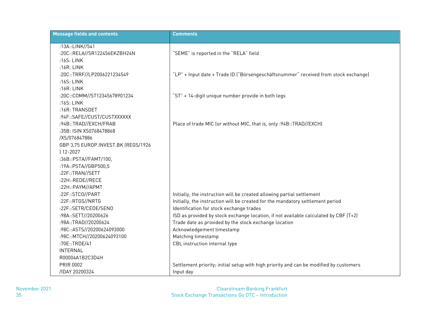| <b>Message fields and contents</b>  | <b>Comments</b>                                                                        |
|-------------------------------------|----------------------------------------------------------------------------------------|
| :13A::LINK//541                     |                                                                                        |
| :20C::RELA//SR122456EKZBH24N        | "SEME" is reported in the "RELA" field                                                 |
| :16S:LINK                           |                                                                                        |
| $:16R:$ LINK                        |                                                                                        |
| :20C::TRRF//LP2006221234549         | "LP" + Input date + Trade ID ("Börsengeschäftsnummer" received from stock exchange)    |
| :16S:LINK                           |                                                                                        |
| :16R:LINK                           |                                                                                        |
| :20C::COMM//ST12345678901234        | "ST" + 14-digit unique number provide in both legs                                     |
| :16S:LINK                           |                                                                                        |
| :16R: TRANSDET                      |                                                                                        |
| :94F::SAFE//CUST/CUSTXXXXXX         |                                                                                        |
| :94B::TRAD//EXCH/FRAB               | Place of trade MIC (or without MIC, that is, only : 94B::TRAD//EXCH)                   |
| :35B: ISIN XS0768478868             |                                                                                        |
| /XS/076847886                       |                                                                                        |
| GBP 3,75 EUROP.INVEST.BK (REGS/1926 |                                                                                        |
| 12-2027                             |                                                                                        |
| :36B::PSTA//FAMT/100,               |                                                                                        |
| :19A::PSTA//GBP500,5                |                                                                                        |
| :22F::TRAN//SETT                    |                                                                                        |
| :22H::REDE//RECE                    |                                                                                        |
| :22H::PAYM//APMT                    |                                                                                        |
| :22F::STCO//PART                    | Initially, the instruction will be created allowing partial settlement                 |
| :22F::RTGS//NRTG                    | Initially, the instruction will be created for the mandatory settlement period         |
| :22F::SETR/CEDE/SEN0                | Identification for stock exchange trades                                               |
| :98A::SETT//20200626                | ISD as provided by stock exchange location, if not available calculated by CBF (T+2)   |
| :98A::TRAD//20200624                | Trade date as provided by the stock exchange location                                  |
| :98C::ASTS//20200624093000          | Acknowledgement timestamp                                                              |
| :98C::MTCH//20200624093100          | Matching timestamp                                                                     |
| :70E::TRDE/41                       | CBL instruction internal type                                                          |
| <b>INTERNAL</b>                     |                                                                                        |
| R00004A1B2C3D4H                     |                                                                                        |
| <b>PRIR 0002</b>                    | Settlement priority; initial setup with high priority and can be modified by customers |
| /IDAY 20200324                      | Input day                                                                              |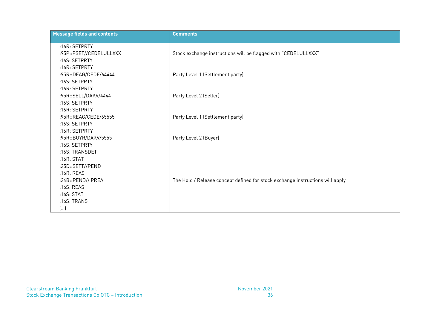| <b>Message fields and contents</b> | <b>Comments</b>                                                               |
|------------------------------------|-------------------------------------------------------------------------------|
| :16R: SETPRTY                      |                                                                               |
| :95P::PSET//CEDELULLXXX            | Stock exchange instructions will be flagged with "CEDELULLXXX"                |
| :16S: SETPRTY                      |                                                                               |
| :16R: SETPRTY                      |                                                                               |
| :95R::DEAG/CEDE/64444              | Party Level 1 (Settlement party)                                              |
| :16S: SETPRTY                      |                                                                               |
| :16R: SETPRTY                      |                                                                               |
| :95R::SELL/DAKV/4444               | Party Level 2 (Seller)                                                        |
| :16S: SETPRTY                      |                                                                               |
| :16R: SETPRTY                      |                                                                               |
| :95R::REAG/CEDE/65555              | Party Level 1 (Settlement party)                                              |
| :16S: SETPRTY                      |                                                                               |
| :16R: SETPRTY                      |                                                                               |
| :95R::BUYR/DAKV/5555               | Party Level 2 (Buyer)                                                         |
| :16S: SETPRTY                      |                                                                               |
| :16S: TRANSDET                     |                                                                               |
| :16R:STAT                          |                                                                               |
| :25D::SETT//PEND                   |                                                                               |
| :16R: REAS                         |                                                                               |
| :24B::PEND// PREA                  | The Hold / Release concept defined for stock exchange instructions will apply |
| :16S: REAS                         |                                                                               |
| :16S: STAT                         |                                                                               |
| :16S: TRANS                        |                                                                               |
| $\left( \ldots \right)$            |                                                                               |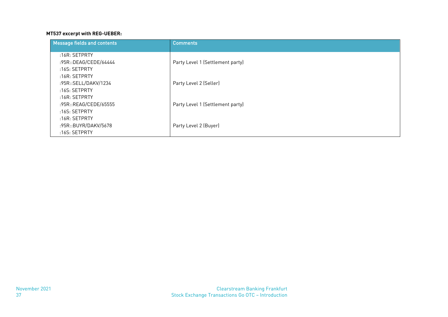## **MT537 excerpt with REG-UEBER:**

| Message fields and contents | <b>Comments</b>                  |
|-----------------------------|----------------------------------|
| :16R:SETPRTY                |                                  |
| :95R::DEAG/CEDE/64444       | Party Level 1 (Settlement party) |
| :16S: SETPRTY               |                                  |
| :16R:SETPRTY                |                                  |
| :95R::SELL/DAKV/1234        | Party Level 2 (Seller)           |
| $:16S:$ SETPRTY             |                                  |
| :16R:SETPRTY                |                                  |
| :95R::REAG/CEDE/65555       | Party Level 1 (Settlement party) |
| :16S:SETPRTY                |                                  |
| :16R:SETPRTY                |                                  |
| :95R::BUYR/DAKV/5678        | Party Level 2 (Buyer)            |
| :16S: SETPRTY               |                                  |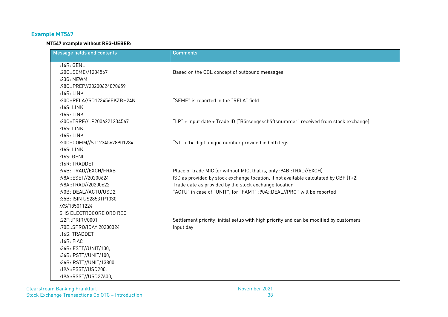## **Example MT547**

### **MT547 example without REG-UEBER:**

| <b>Message fields and contents</b>             | <b>Comments</b>                                                                                                                  |
|------------------------------------------------|----------------------------------------------------------------------------------------------------------------------------------|
| :16R: GENL                                     |                                                                                                                                  |
| :20C::SEME//1234567                            | Based on the CBL concept of outbound messages                                                                                    |
| :23G: NEWM                                     |                                                                                                                                  |
| :98C::PREP//20200624090659                     |                                                                                                                                  |
| $:16R:$ LINK                                   |                                                                                                                                  |
| :20C::RELA//SD123456EKZBH24N                   | "SEME" is reported in the "RELA" field                                                                                           |
| :16S: LINK                                     |                                                                                                                                  |
| $:16R:$ LINK                                   |                                                                                                                                  |
| :20C::TRRF//LP2006221234567                    | "LP" + Input date + Trade ID ("Börsengeschäftsnummer" received from stock exchange)                                              |
| :16S: LINK                                     |                                                                                                                                  |
| :16R: LINK                                     |                                                                                                                                  |
| :20C::COMM//ST12345678901234                   | "ST" + 14-digit unique number provided in both legs                                                                              |
| :16S: LINK                                     |                                                                                                                                  |
| :16S: GENL                                     |                                                                                                                                  |
| :16R: TRADDET                                  |                                                                                                                                  |
| :94B::TRAD//EXCH/FRAB                          | Place of trade MIC (or without MIC, that is, only : 94B::TRAD//EXCH)                                                             |
| :98A::ESET//20200624                           | ISD as provided by stock exchange location, if not available calculated by CBF (T+2)                                             |
| :98A::TRAD//20200622<br>:90B::DEAL//ACTU/USD2, | Trade date as provided by the stock exchange location<br>"ACTU" in case of "UNIT", for "FAMT" : 90A::DEAL//PRCT will be reported |
| :35B: ISIN US28531P1030                        |                                                                                                                                  |
| /XS/185011224                                  |                                                                                                                                  |
| SHS ELECTROCORE ORD REG                        |                                                                                                                                  |
| :22F::PRIR//0001                               | Settlement priority; initial setup with high priority and can be modified by customers                                           |
| :70E::SPRO/IDAY 20200324                       | Input day                                                                                                                        |
| :16S: TRADDET                                  |                                                                                                                                  |
| :16R:FIAC                                      |                                                                                                                                  |
| :36B::ESTT//UNIT/100,                          |                                                                                                                                  |
| :36B::PSTT//UNIT/100,                          |                                                                                                                                  |
| :36B::RSTT//UNIT/13800,                        |                                                                                                                                  |
| :19A::PSST//USD200,                            |                                                                                                                                  |
| :19A::RSST//USD27600,                          |                                                                                                                                  |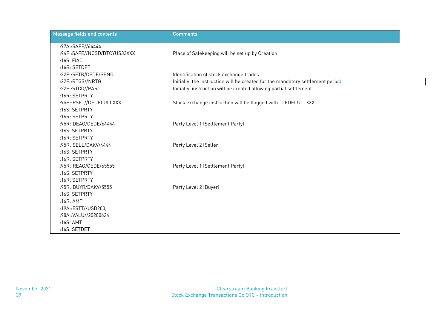| <b>Message fields and contents</b> | <b>Comments</b>                                                                 |
|------------------------------------|---------------------------------------------------------------------------------|
| :97A::SAFE//64444                  |                                                                                 |
| :94F::SAFE//NCSD/DTCYUS33XXX       | Place of Safekeeping will be set up by Creation                                 |
| :16S:FIAC                          |                                                                                 |
| :16R:SETDET                        |                                                                                 |
| :22F::SETR/CEDE/SEN0               | Identification of stock exchange trades                                         |
| :22F::RTGS//NRTG                   | Initially, the instruction will be created for the mandatory settlement period. |
| :22F::STCO//PART                   | Initially, instruction will be created allowing partial settlement              |
| :16R: SETPRTY                      |                                                                                 |
| :95P::PSET//CEDELULLXXX            | Stock exchange instruction will be flagged with "CEDELULLXXX"                   |
| :16S: SETPRTY                      |                                                                                 |
| :16R: SETPRTY                      |                                                                                 |
| :95R::DEAG/CEDE/64444              | Party Level 1 (Settlement Party)                                                |
| :16S: SETPRTY                      |                                                                                 |
| :16R: SETPRTY                      |                                                                                 |
| :95R::SELL/DAKV/4444               | Party Level 2 (Seller)                                                          |
| :16S: SETPRTY                      |                                                                                 |
| :16R: SETPRTY                      |                                                                                 |
| :95R::REAG/CEDE/65555              | Party Level 1 (Settlement Party)                                                |
| :16S: SETPRTY                      |                                                                                 |
| :16R: SETPRTY                      |                                                                                 |
| :95R::BUYR/DAKV/5555               | Party Level 2 (Buyer)                                                           |
| :16S: SETPRTY                      |                                                                                 |
| :16R:AMT                           |                                                                                 |
| :19A::ESTT//USD200,                |                                                                                 |
| :98A::VALU//20200624               |                                                                                 |
| :16S: AMT                          |                                                                                 |
| :16S: SETDET                       |                                                                                 |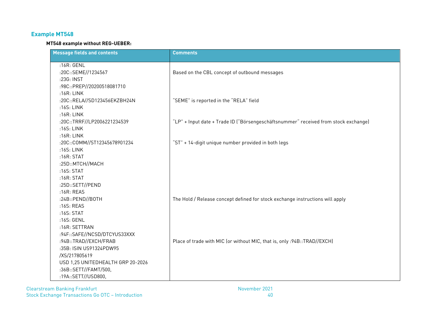## **Example MT548**

## **MT548 example without REG-UEBER:**

| <b>Message fields and contents</b> | <b>Comments</b>                                                                     |
|------------------------------------|-------------------------------------------------------------------------------------|
| :16R: GENL                         |                                                                                     |
| :20C::SEME//1234567                | Based on the CBL concept of outbound messages                                       |
| :23G: INST                         |                                                                                     |
| :98C::PREP//20200518081710         |                                                                                     |
| $:16R:$ LINK                       |                                                                                     |
| :20C::RELA//SD123456EKZBH24N       | "SEME" is reported in the "RELA" field                                              |
| :16S: LINK                         |                                                                                     |
| :16R: LINK                         |                                                                                     |
| :20C::TRRF//LP2006221234539        | "LP" + Input date + Trade ID ("Börsengeschäftsnummer" received from stock exchange) |
| :16S: LINK                         |                                                                                     |
| $:16R:$ LINK                       |                                                                                     |
| :20C::COMM//ST12345678901234       | "ST" + 14-digit unique number provided in both legs                                 |
| :16S: LINK                         |                                                                                     |
| :16R: STAT                         |                                                                                     |
| :25D::MTCH//MACH                   |                                                                                     |
| :16S:STAT                          |                                                                                     |
| :16R: STAT                         |                                                                                     |
| :25D::SETT//PEND                   |                                                                                     |
| :16R: REAS                         |                                                                                     |
| :24B::PEND//BOTH                   | The Hold / Release concept defined for stock exchange instructions will apply       |
| :16S: REAS                         |                                                                                     |
| :16S: STAT                         |                                                                                     |
| :16S: GENL                         |                                                                                     |
| :16R: SETTRAN                      |                                                                                     |
| :94F::SAFE//NCSD/DTCYUS33XXX       |                                                                                     |
| :94B::TRAD//EXCH/FRAB              | Place of trade with MIC (or without MIC, that is, only : 94B::TRAD//EXCH)           |
| :35B: ISIN US91324PDW95            |                                                                                     |
| /XS/217805619                      |                                                                                     |
| USD 1,25 UNITEDHEALTH GRP 20-2026  |                                                                                     |
| :36B::SETT//FAMT/500,              |                                                                                     |
| :19A::SETT//USD800,                |                                                                                     |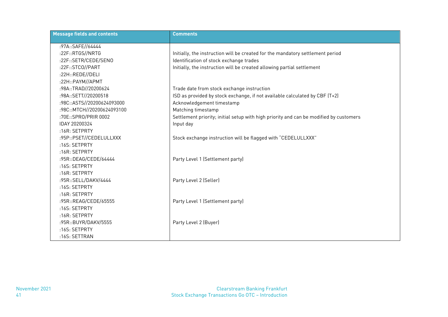| <b>Message fields and contents</b> | <b>Comments</b>                                                                        |
|------------------------------------|----------------------------------------------------------------------------------------|
| :97A::SAFE//64444                  |                                                                                        |
| :22F::RTGS//NRTG                   | Initially, the instruction will be created for the mandatory settlement period         |
| :22F::SETR/CEDE/SEN0               | Identification of stock exchange trades                                                |
| :22F::STCO//PART                   | Initially, the instruction will be created allowing partial settlement                 |
| :22H::REDE//DELI                   |                                                                                        |
| :22H::PAYM//APMT                   |                                                                                        |
| :98A::TRAD//20200624               | Trade date from stock exchange instruction                                             |
| :98A::SETT//20200518               | ISD as provided by stock exchange, if not available calculated by CBF (T+2)            |
| :98C::ASTS//20200624093000         | Acknowledgement timestamp                                                              |
| :98C::MTCH//20200624093100         | Matching timestamp                                                                     |
| :70E::SPRO/PRIR 0002               | Settlement priority; initial setup with high priority and can be modified by customers |
| IDAY 20200324                      | Input day                                                                              |
| :16R:SETPRTY                       |                                                                                        |
| :95P::PSET//CEDELULLXXX            | Stock exchange instruction will be flagged with "CEDELULLXXX"                          |
| :16S: SETPRTY                      |                                                                                        |
| :16R: SETPRTY                      |                                                                                        |
| :95R::DEAG/CEDE/64444              | Party Level 1 (Settlement party)                                                       |
| :16S: SETPRTY                      |                                                                                        |
| :16R:SETPRTY                       |                                                                                        |
| :95R::SELL/DAKV/4444               | Party Level 2 (Seller)                                                                 |
| :16S: SETPRTY                      |                                                                                        |
| :16R:SETPRTY                       |                                                                                        |
| :95R::REAG/CEDE/65555              | Party Level 1 (Settlement party)                                                       |
| :16S: SETPRTY                      |                                                                                        |
| :16R: SETPRTY                      |                                                                                        |
| :95R::BUYR/DAKV/5555               | Party Level 2 (Buyer)                                                                  |
| :16S: SETPRTY                      |                                                                                        |
| :16S: SETTRAN                      |                                                                                        |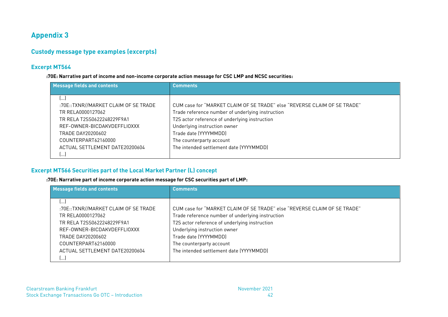## **Appendix 3**

## **Custody message type examples (excerpts)**

## **Excerpt MT564**

**:70E: Narrative part of income and non-income corporate action message for CSC LMP and NCSC securities:**

| <b>Message fields and contents</b>   | <b>Comments</b>                                                          |
|--------------------------------------|--------------------------------------------------------------------------|
|                                      |                                                                          |
| ر…ا                                  |                                                                          |
| :70E::TXNR//MARKET CLAIM OF SE TRADE | CUM case for "MARKET CLAIM OF SE TRADE" else "REVERSE CLAIM OF SE TRADE" |
| TR RELA0000127062                    | Trade reference number of underlying instruction                         |
| TR RELA T2SS0622248229F9A1           | T2S actor reference of underlying instruction                            |
| REF-OWNER-BICDAKVDEFFLIOXXX          | Underlying instruction owner                                             |
| TRADE DAY20200602                    | Trade date (YYYYMMDD)                                                    |
| COUNTERPART62160000                  | The counterparty account                                                 |
| ACTUAL SETTLEMENT DATE20200604       | The intended settlement date (YYYYMMDD)                                  |
| ()                                   |                                                                          |

## <span id="page-43-2"></span><span id="page-43-1"></span><span id="page-43-0"></span>**Excerpt MT566 Securities part of the Local Market Partner (L) concept**

### **:70E: Narrative part of income corporate action message for CSC securities part of LMP:**

| Message fields and contents          | <b>Comments</b>                                                          |
|--------------------------------------|--------------------------------------------------------------------------|
|                                      |                                                                          |
| ر ا                                  |                                                                          |
| :70E::TXNR//MARKET CLAIM OF SE TRADE | CUM case for "MARKET CLAIM OF SE TRADE" else "REVERSE CLAIM OF SE TRADE" |
| TR RELA0000127062                    | Trade reference number of underlying instruction                         |
| TR RELA T2SS0622248229F9A1           | T2S actor reference of underlying instruction                            |
| REF-OWNER-BICDAKVDEFFLIOXXX          | Underlying instruction owner                                             |
| TRADE DAY20200602                    | Trade date (YYYYMMDD)                                                    |
| COUNTERPART62160000                  | The counterparty account                                                 |
| ACTUAL SETTLEMENT DATE20200604       | The intended settlement date (YYYYMMDD)                                  |
| l…J                                  |                                                                          |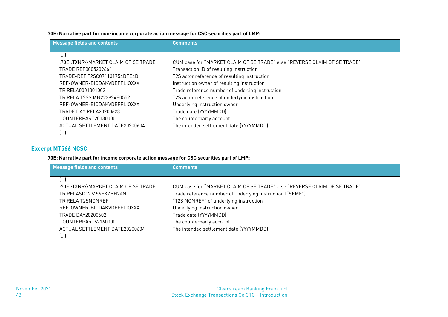**:70E: Narrative part for non-income corporate action message for CSC securities part of LMP:**

| Message fields and contents          | <b>Comments</b>                                                          |
|--------------------------------------|--------------------------------------------------------------------------|
| lI                                   |                                                                          |
| :70E::TXNR//MARKET CLAIM OF SE TRADE | CUM case for "MARKET CLAIM OF SE TRADE" else "REVERSE CLAIM OF SE TRADE" |
| TRADE REF0005209661                  | Transaction ID of resulting instruction                                  |
| TRADE-REF T2SC071131754DFE4D         | T2S actor reference of resulting instruction                             |
| REF-OWNER-BICDAKVDEFFLIOXXX          | Instruction owner of resulting instruction                               |
| TR RELA0001001002                    | Trade reference number of underling instruction                          |
| TR RELA T2SS06N223924E0552           | T2S actor reference of underlying instruction                            |
| REF-OWNER-BICDAKVDEFFLIOXXX          | Underlying instruction owner                                             |
| <b>TRADE DAY RELA20200623</b>        | Trade date (YYYYMMDD)                                                    |
| COUNTERPART20130000                  | The counterparty account                                                 |
| ACTUAL SETTLEMENT DATE20200604       | The intended settlement date (YYYYMMDD)                                  |
| lJ                                   |                                                                          |

## **Excerpt MT566 NCSC**

### **:70E: Narrative part for income corporate action message for CSC securities part of LMP:**

| <b>Message fields and contents</b>                                                                                                                                                                             | <b>Comments</b>                                                                                                                                                                                                                                                                                                 |
|----------------------------------------------------------------------------------------------------------------------------------------------------------------------------------------------------------------|-----------------------------------------------------------------------------------------------------------------------------------------------------------------------------------------------------------------------------------------------------------------------------------------------------------------|
| ر ا<br>:70E::TXNR//MARKET CLAIM OF SE TRADE<br>TR RELASD123456EKZBH24N<br>TR RELA T2SNONREF<br>REF-OWNER-BICDAKVDEFFLIOXXX<br>TRADE DAY20200602<br>COUNTERPART62160000<br>ACTUAL SETTLEMENT DATE20200604<br>lJ | CUM case for "MARKET CLAIM OF SE TRADE" else "REVERSE CLAIM OF SE TRADE"<br>Trade reference number of underlying instruction ("SEME")<br>"T2S NONREF" of underlying instruction<br>Underlying instruction owner<br>Trade date (YYYYMMDD)<br>The counterparty account<br>The intended settlement date (YYYYMMDD) |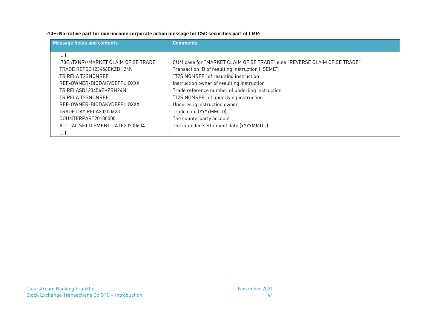**:70E: Narrative part for non-income corporate action message for CSC securities part of LMP:**

| Message fields and contents          | <b>Comments</b>                                                          |
|--------------------------------------|--------------------------------------------------------------------------|
|                                      |                                                                          |
| lI                                   | CUM case for "MARKET CLAIM OF SE TRADE" else "REVERSE CLAIM OF SE TRADE" |
| :70E::TXNR//MARKET CLAIM OF SE TRADE |                                                                          |
| TRADE REFSD123456EKZBH24N            | Transaction ID of resulting instruction ("SEME")                         |
| TR RELA T2SNONREF                    | "T2S NONREF" of resulting instruction                                    |
| REF-OWNER-BICDAKVDEFFLIOXXX          | Instruction owner of resulting instruction                               |
| TR RELASD123456EKZBH24N              | Trade reference number of underling instruction                          |
| TR RELA T2SNONREF                    | "T2S NONREF" of underlying instruction                                   |
| REF-OWNER-BICDAKVDEFFLIOXXX          | Underlying instruction owner                                             |
| <b>TRADE DAY RELA20200623</b>        | Trade date (YYYYMMDD)                                                    |
| COUNTERPART20130000                  | The counterparty account                                                 |
| ACTUAL SETTLEMENT DATE20200604       | The intended settlement date (YYYYMMDD)                                  |
| lI                                   |                                                                          |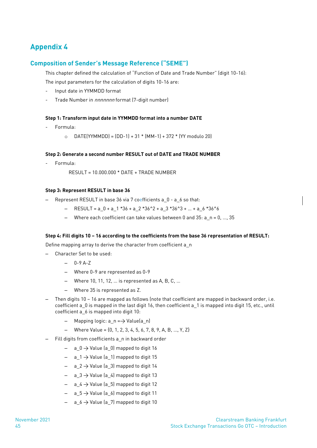## <span id="page-46-2"></span><span id="page-46-0"></span>**Appendix 4**

## <span id="page-46-1"></span>**Composition of Sender's Message Reference ("SEME")**

This chapter defined the calculation of "Function of Date and Trade Number" (digit 10-16):

The input parameters for the calculation of digits 10-16 are:

- Input date in YYMMDD format
- Trade Number in *nnnnnnn* format (7-digit number)

#### **Step 1: Transform input date in YYMMDD format into a number DATE**

- Formula:
	- o DATE(YYMMDD) = (DD-1) + 31 \* (MM-1) + 372 \* (YY modulo 20)

#### **Step 2: Generate a second number RESULT out of DATE and TRADE NUMBER**

- Formula:

RESULT = 10.000.000 \* DATE + TRADE NUMBER

#### **Step 3: Represent RESULT in base 36**

- Represent RESULT in base 36 via 7 coefficients a\_0 a\_6 so that:
	- $RESULT = a_0 + a_1 * 36 + a_2 * 36^2 + a_3 * 36^3 + ... + a_6 * 36^6$
	- ‒ Where each coefficient can take values between 0 and 35: a\_n = 0, …, 35

#### **Step 4: Fill digits 10 – 16 according to the coefficients from the base 36 representation of RESULT:**

Define mapping array to derive the character from coefficient a n

- ‒ Character Set to be used:
	- $-0-9A-Z$
	- ‒ Where 0-9 are represented as 0-9
	- ‒ Where 10, 11, 12, … is represented as A, B, C, …
	- ‒ Where 35 is represented as Z.
- Then digits 10 16 are mapped as follows (note that coefficient are mapped in backward order, i.e. coefficient a\_0 is mapped in the last digit 16, then coefficient a\_1 is mapped into digit 15, etc., until coefficient a\_6 is mapped into digit 10:
	- $-$  Mapping logic:  $a_n = \rightarrow$  Value( $a_n$ )
	- $-$  Where Value = {0, 1, 2, 3, 4, 5, 6, 7, 8, 9, A, B, ..., Y, Z}
- Fill digits from coefficients a n in backward order
	- $-$  a\_0  $\rightarrow$  Value (a\_0) mapped to digit 16
	- $-$  a\_1  $\rightarrow$  Value (a\_1) mapped to digit 15
	- $-$  a\_2  $\rightarrow$  Value (a\_3) mapped to digit 14
	- $-$  a\_3  $\rightarrow$  Value (a\_4) mapped to digit 13
	- $-$  a\_4  $\rightarrow$  Value (a\_5) mapped to digit 12
	- $-$  a\_5  $\rightarrow$  Value (a\_6) mapped to digit 11
	- $-$  a\_6  $\rightarrow$  Value (a\_7) mapped to digit 10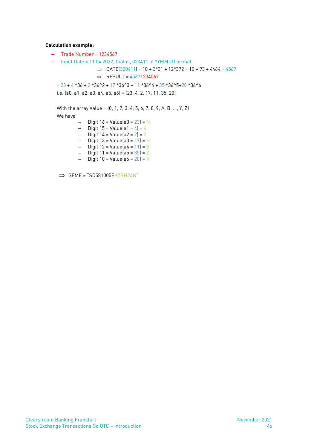### **Calculation example:**

- Trade Number = 1234567
- ‒ Input Date = 11.04.2032, that is, 320411 in YYMMDD format.

```
\implies DATE(320411) = 10 + 3*31 + 12*372 = 10 + 93 + 4464 = 4567
\Rightarrow RESULT = 45671234567
```
 $= 23 + 4 *36 + 2 *36^2 + 17 *36^3 + 11 *36^4 + 35 *36^5 + 20 *36^6$ 

i.e. (a0, a1, a2, a3, a4, a5, a6) = (23, 4, 2, 17, 11, 35, 20)

With the array Value = {0, 1, 2, 3, 4, 5, 6, 7, 8, 9, A, B, …, Y, Z}

We have

- Digit 16 = Value(a0 = 23) = N<br>Digit 15 = Value(a1 = 4) = 4
- ‒ Digit 15 = Value(a1 = 4) = 4
- ‒ Digit 14 = Value(a2 = 2) = 2
- ‒ Digit 13 = Value(a3 = 17) = H
- ‒ Digit 12 = Value(a4 = 11) = B
- $-$  Digit 11 = Value(a5 = 35) = Z  $-$  Digit 10 = Value(a6 = 20) = K

 $\implies$  SEME = "SD581005EKZBH24N"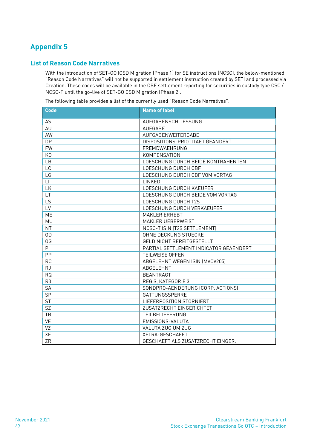## <span id="page-48-2"></span><span id="page-48-0"></span>**Appendix 5**

## <span id="page-48-1"></span>**List of Reason Code Narratives**

With the introduction of SET-GO ICSD Migration (Phase 1) for SE instructions (NCSC), the below-mentioned "Reason Code Narratives" will not be supported in settlement instruction created by SETI and processed via Creation. These codes will be available in the CBF settlement reporting for securities in custody type CSC / NCSC-T until the go-live of SET-GO CSD Migration (Phase 2).

The following table provides a list of the currently used "Reason Code Narratives":

| <b>Code</b>            | <b>Name of label</b>                   |
|------------------------|----------------------------------------|
| AS                     | AUFGABENSCHLIESSUNG                    |
| AU                     | <b>AUFGABE</b>                         |
| AW                     | AUFGABENWEITERGABE                     |
| <b>DP</b>              | DISPOSITIONS-PRIOTITAET GEANDERT       |
| <b>FW</b>              | FREMDWAEHRUNG                          |
| K <sub>0</sub>         | KOMPENSATION                           |
| <b>LB</b>              | LOESCHUNG DURCH BEIDE KONTRAHENTEN     |
| LC                     | LOESCHUNG DURCH CBF                    |
| LG                     | LOESCHUNG DURCH CBF VOM VORTAG         |
| $\mathsf{L}\mathsf{L}$ | LINKED                                 |
| <b>LK</b>              | LOESCHUNG DURCH KAEUFER                |
| LT                     | LOESCHUNG DURCH BEIDE VOM VORTAG       |
| LS                     | LOESCHUNG DURCH T2S                    |
| LV                     | LOESCHUNG DURCH VERKAEUFER             |
| <b>ME</b>              | <b>MAKLER ERHEBT</b>                   |
| <b>MU</b>              | MAKLER UEBERWEIST                      |
| <b>NT</b>              | NCSC-T ISIN (T2S SETTLEMENT)           |
| 0D                     | OHNE DECKUNG STUECKE                   |
| 0G                     | <b>GELD NICHT BEREITGESTELLT</b>       |
| PI                     | PARTIAL SETTLEMENT INDICATOR GEAENDERT |
| PP                     | <b>TEILWEISE OFFEN</b>                 |
| <b>RC</b>              | ABGELEHNT WEGEN ISIN (MVCV205)         |
| <b>RJ</b>              | ABGELEHNT                              |
| <b>RQ</b>              | <b>BEANTRAGT</b>                       |
| R <sub>3</sub>         | REG S, KATEGORIE 3                     |
| <b>SA</b>              | SONDPRO-AENDERUNG (CORP. ACTIONS)      |
| SP                     | GATTUNGSSPERRE                         |
| <b>ST</b>              | LIEFERPOSITION STORNIERT               |
| SZ                     | ZUSATZRECHT EINGERICHTET               |
| TB                     | TEILBELIEFERUNG                        |
| <b>VE</b>              | EMISSIONS-VALUTA                       |
| VZ                     | VALUTA ZUG UM ZUG                      |
| XE                     | XETRA-GESCHAEFT                        |
| ZR                     | GESCHAEFT ALS ZUSATZRECHT EINGER.      |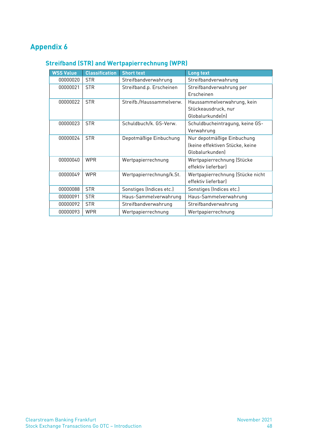## <span id="page-49-2"></span><span id="page-49-1"></span><span id="page-49-0"></span>**Appendix 6**

## **Streifband (STR) and Wertpapierrechnung (WPR)**

| <b>WSS Value</b> | <b>Classification</b> | <b>Short text</b>        | <b>Long text</b>                 |
|------------------|-----------------------|--------------------------|----------------------------------|
| 00000020         | <b>STR</b>            | Streifbandverwahrung     | Streifbandverwahrung             |
| 00000021         | <b>STR</b>            | Streifband.p. Erscheinen | Streifbandverwahrung per         |
|                  |                       |                          | Erscheinen                       |
| 00000022         | <b>STR</b>            | Streifb./Haussammelverw. | Haussammelverwahrung, kein       |
|                  |                       |                          | Stückeausdruck, nur              |
|                  |                       |                          | Globalurkunde(n)                 |
| 00000023         | <b>STR</b>            | Schuldbuch/k. GS-Verw.   | Schuldbucheintragung, keine GS-  |
|                  |                       |                          | Verwahrung                       |
| 00000024         | <b>STR</b>            | Depotmäßige Einbuchung   | Nur depotmäßige Einbuchung       |
|                  |                       |                          | (keine effektiven Stücke, keine  |
|                  |                       |                          | Globalurkunden                   |
| 00000040         | <b>WPR</b>            | Wertpapierrechnung       | Wertpapierrechnung (Stücke       |
|                  |                       |                          | effektiv lieferbarl              |
| 00000049         | <b>WPR</b>            | Wertpapierrechnung/k.St. | Wertpapierrechnung (Stücke nicht |
|                  |                       |                          | effektiv lieferbarl              |
| 00000088         | <b>STR</b>            | Sonstiges (Indices etc.) | Sonstiges (Indices etc.)         |
| 00000091         | <b>STR</b>            | Haus-Sammelverwahrung    | Haus-Sammelverwahrung            |
| 00000092         | <b>STR</b>            | Streifbandverwahrung     | Streifbandverwahrung             |
| 00000093         | <b>WPR</b>            | Wertpapierrechnung       | Wertpapierrechnung               |